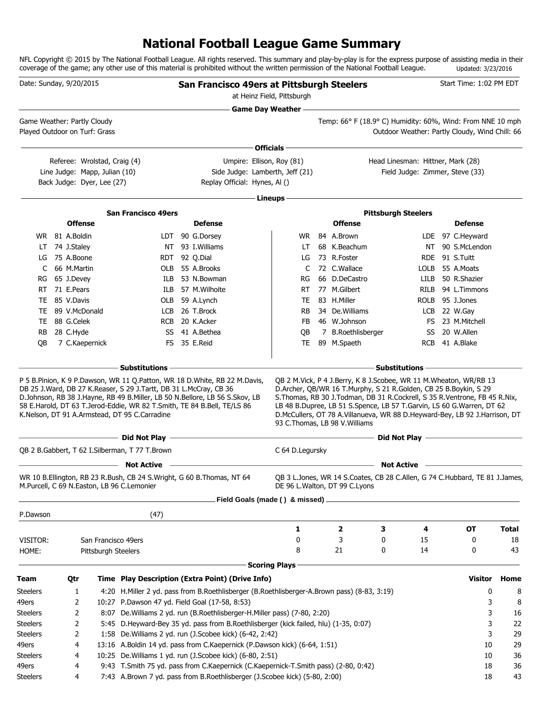# **National Football League Game Summary**

NFL Copyright © 2015 by The National Football League. All rights reserved. This summary and play-by-play is for the express purpose of assisting media in their coverage of the game; any other use of this material is prohibited without the written permission of the National Football League. Updated: 3/23/2016

| Date: Sunday, 9/20/2015                                      |                            |                               |                                                                                                                    | San Francisco 49ers at Pittsburgh Steelers                                                                                                             | at Heinz Field, Pittsburgh |                                                                                                                                                                                                                                                                                                                                              |                                                |      |                                  | Start Time: 1:02 PM EDT |              |
|--------------------------------------------------------------|----------------------------|-------------------------------|--------------------------------------------------------------------------------------------------------------------|--------------------------------------------------------------------------------------------------------------------------------------------------------|----------------------------|----------------------------------------------------------------------------------------------------------------------------------------------------------------------------------------------------------------------------------------------------------------------------------------------------------------------------------------------|------------------------------------------------|------|----------------------------------|-------------------------|--------------|
|                                                              |                            |                               |                                                                                                                    |                                                                                                                                                        | <b>Game Day Weather --</b> |                                                                                                                                                                                                                                                                                                                                              |                                                |      |                                  |                         |              |
| Game Weather: Partly Cloudy<br>Played Outdoor on Turf: Grass |                            |                               |                                                                                                                    |                                                                                                                                                        |                            | Temp: 66° F (18.9° C) Humidity: 60%, Wind: From NNE 10 mph                                                                                                                                                                                                                                                                                   | Outdoor Weather: Partly Cloudy, Wind Chill: 66 |      |                                  |                         |              |
|                                                              |                            |                               |                                                                                                                    |                                                                                                                                                        | Officials -                |                                                                                                                                                                                                                                                                                                                                              |                                                |      |                                  |                         |              |
|                                                              |                            | Referee: Wrolstad, Craig (4)  |                                                                                                                    | Umpire: Ellison, Roy (81)                                                                                                                              |                            |                                                                                                                                                                                                                                                                                                                                              | Head Linesman: Hittner, Mark (28)              |      |                                  |                         |              |
|                                                              |                            | Line Judge: Mapp, Julian (10) |                                                                                                                    | Side Judge: Lamberth, Jeff (21)                                                                                                                        |                            |                                                                                                                                                                                                                                                                                                                                              | Field Judge: Zimmer, Steve (33)                |      |                                  |                         |              |
|                                                              |                            | Back Judge: Dyer, Lee (27)    |                                                                                                                    | Replay Official: Hynes, Al ()                                                                                                                          |                            |                                                                                                                                                                                                                                                                                                                                              |                                                |      |                                  |                         |              |
|                                                              |                            |                               |                                                                                                                    |                                                                                                                                                        | Lineups                    |                                                                                                                                                                                                                                                                                                                                              |                                                |      |                                  |                         |              |
|                                                              |                            |                               | <b>San Francisco 49ers</b>                                                                                         |                                                                                                                                                        |                            |                                                                                                                                                                                                                                                                                                                                              | <b>Pittsburgh Steelers</b>                     |      |                                  |                         |              |
|                                                              | <b>Offense</b>             |                               |                                                                                                                    | <b>Defense</b>                                                                                                                                         |                            | <b>Offense</b>                                                                                                                                                                                                                                                                                                                               |                                                |      |                                  | <b>Defense</b>          |              |
|                                                              | WR 81 A.Boldin             |                               |                                                                                                                    | LDT 90 G.Dorsey                                                                                                                                        | WR                         | 84 A.Brown                                                                                                                                                                                                                                                                                                                                   |                                                |      | LDE 97 C.Heyward                 |                         |              |
|                                                              | LT 74 J.Staley             |                               |                                                                                                                    | NT 93 I. Williams                                                                                                                                      | LT                         | 68 K.Beachum                                                                                                                                                                                                                                                                                                                                 |                                                |      | NT 90 S.McLendon                 |                         |              |
| LG                                                           | 75 A.Boone                 |                               |                                                                                                                    | RDT 92 Q.Dial                                                                                                                                          | LG                         | 73 R.Foster                                                                                                                                                                                                                                                                                                                                  |                                                |      | RDE 91 S.Tuitt                   |                         |              |
| C                                                            | 66 M.Martin                |                               |                                                                                                                    | OLB 55 A.Brooks                                                                                                                                        | C                          | 72 C.Wallace                                                                                                                                                                                                                                                                                                                                 |                                                | LOLB | 55 A.Moats                       |                         |              |
| RG                                                           | 65 J.Devey                 |                               | ILB                                                                                                                | 53 N.Bowman                                                                                                                                            | RG                         | 66 D.DeCastro                                                                                                                                                                                                                                                                                                                                |                                                | LILB | 50 R.Shazier                     |                         |              |
| RT.                                                          | 71 E.Pears                 |                               | ILB                                                                                                                | 57 M.Wilhoite                                                                                                                                          | <b>RT</b>                  | 77 M.Gilbert                                                                                                                                                                                                                                                                                                                                 |                                                | RILB |                                  | 94 L.Timmons            |              |
| TE.                                                          | 85 V.Davis                 |                               |                                                                                                                    | OLB 59 A.Lynch                                                                                                                                         | TE                         | 83 H.Miller                                                                                                                                                                                                                                                                                                                                  |                                                | ROLB | 95 J.Jones                       |                         |              |
|                                                              | TE 89 V.McDonald           |                               |                                                                                                                    | LCB 26 T.Brock<br>RCB 20 K.Acker                                                                                                                       | <b>RB</b>                  | 34 De. Williams                                                                                                                                                                                                                                                                                                                              |                                                |      | LCB 22 W.Gay<br>FS 23 M.Mitchell |                         |              |
| RB.                                                          | TE 88 G.Celek<br>28 C.Hyde |                               |                                                                                                                    | SS 41 A.Bethea                                                                                                                                         | FB<br>QB                   | 46 W.Johnson<br>7 B.Roethlisberger                                                                                                                                                                                                                                                                                                           |                                                | SS   | 20 W.Allen                       |                         |              |
| OВ                                                           | 7 C.Kaepernick             |                               |                                                                                                                    | FS 35 E.Reid                                                                                                                                           | <b>TE</b>                  | 89 M.Spaeth                                                                                                                                                                                                                                                                                                                                  |                                                |      | RCB 41 A.Blake                   |                         |              |
|                                                              |                            |                               |                                                                                                                    |                                                                                                                                                        |                            |                                                                                                                                                                                                                                                                                                                                              |                                                |      |                                  |                         |              |
|                                                              |                            |                               | <b>Substitutions</b>                                                                                               |                                                                                                                                                        |                            |                                                                                                                                                                                                                                                                                                                                              | <b>Substitutions</b>                           |      |                                  |                         |              |
|                                                              |                            |                               | DB 25 J.Ward, DB 27 K.Reaser, S 29 J.Tartt, DB 31 L.McCray, CB 36<br>K.Nelson, DT 91 A.Armstead, DT 95 C.Carradine | D.Johnson, RB 38 J.Hayne, RB 49 B.Miller, LB 50 N.Bellore, LB 56 S.Skov, LB<br>58 E.Harold, DT 63 T.Jerod-Eddie, WR 82 T.Smith, TE 84 B.Bell, TE/LS 86 |                            | D.Archer, QB/WR 16 T.Murphy, S 21 R.Golden, CB 25 B.Boykin, S 29<br>S. Thomas, RB 30 J. Todman, DB 31 R. Cockrell, S 35 R. Ventrone, FB 45 R. Nix,<br>LB 48 B.Dupree, LB 51 S.Spence, LB 57 T.Garvin, LS 60 G.Warren, DT 62<br>D.McCullers, OT 78 A.Villanueva, WR 88 D.Heyward-Bey, LB 92 J.Harrison, DT<br>93 C. Thomas, LB 98 V. Williams |                                                |      |                                  |                         |              |
|                                                              |                            |                               |                                                                                                                    | the control of the control of the control of the control of the control of the control of                                                              |                            |                                                                                                                                                                                                                                                                                                                                              | Did Not Play <u>_________________________</u>  |      |                                  |                         |              |
|                                                              |                            |                               | QB 2 B.Gabbert, T 62 I.Silberman, T 77 T.Brown                                                                     |                                                                                                                                                        | C 64 D.Legursky            |                                                                                                                                                                                                                                                                                                                                              |                                                |      |                                  |                         |              |
|                                                              |                            |                               | <b>Not Active</b>                                                                                                  |                                                                                                                                                        |                            |                                                                                                                                                                                                                                                                                                                                              | <b>Not Active</b>                              |      |                                  |                         |              |
|                                                              |                            |                               | M.Purcell, C 69 N.Easton, LB 96 C.Lemonier                                                                         | WR 10 B.Ellington, RB 23 R.Bush, CB 24 S.Wright, G 60 B.Thomas, NT 64                                                                                  |                            | QB 3 L.Jones, WR 14 S.Coates, CB 28 C.Allen, G 74 C.Hubbard, TE 81 J.James,<br>DE 96 L. Walton, DT 99 C. Lyons                                                                                                                                                                                                                               |                                                |      |                                  |                         |              |
|                                                              |                            |                               |                                                                                                                    | Field Goals (made () & missed) _                                                                                                                       |                            |                                                                                                                                                                                                                                                                                                                                              |                                                |      |                                  |                         |              |
| P.Dawson                                                     |                            |                               | (47)                                                                                                               |                                                                                                                                                        |                            |                                                                                                                                                                                                                                                                                                                                              |                                                |      |                                  |                         |              |
|                                                              |                            |                               |                                                                                                                    |                                                                                                                                                        | 1                          | 2                                                                                                                                                                                                                                                                                                                                            | 3                                              | 4    |                                  | <b>OT</b>               | <b>Total</b> |
| VISITOR:                                                     |                            | San Francisco 49ers           |                                                                                                                    |                                                                                                                                                        | 0                          | 3                                                                                                                                                                                                                                                                                                                                            | 0                                              | 15   |                                  | 0                       | 18           |
| HOME:                                                        |                            | Pittsburgh Steelers           |                                                                                                                    |                                                                                                                                                        | 8                          | 21                                                                                                                                                                                                                                                                                                                                           | 0                                              | 14   |                                  | 0                       | 43           |
|                                                              |                            |                               |                                                                                                                    |                                                                                                                                                        | <b>Scoring Plays</b>       |                                                                                                                                                                                                                                                                                                                                              |                                                |      |                                  |                         |              |
| Team                                                         | Qtr                        |                               |                                                                                                                    | Time Play Description (Extra Point) (Drive Info)                                                                                                       |                            |                                                                                                                                                                                                                                                                                                                                              |                                                |      |                                  | <b>Visitor</b>          | Home         |
| <b>Steelers</b>                                              | 1                          |                               |                                                                                                                    | 4:20 H.Miller 2 yd. pass from B.Roethlisberger (B.Roethlisberger-A.Brown pass) (8-83, 3:19)                                                            |                            |                                                                                                                                                                                                                                                                                                                                              |                                                |      |                                  | 0                       | 8            |
| 49ers                                                        | 2                          |                               |                                                                                                                    | 10:27 P.Dawson 47 yd. Field Goal (17-58, 8:53)                                                                                                         |                            |                                                                                                                                                                                                                                                                                                                                              |                                                |      |                                  | 3                       | 8            |
| <b>Steelers</b>                                              | 2                          |                               |                                                                                                                    | 8:07 De. Williams 2 yd. run (B. Roethlisberger-H. Miller pass) (7-80, 2:20)                                                                            |                            |                                                                                                                                                                                                                                                                                                                                              |                                                |      |                                  | 3                       | 16           |
| <b>Steelers</b>                                              | 2                          |                               |                                                                                                                    | 5:45 D.Heyward-Bey 35 yd. pass from B.Roethlisberger (kick failed, hlu) (1-35, 0:07)                                                                   |                            |                                                                                                                                                                                                                                                                                                                                              |                                                |      |                                  | 3                       | 22           |
| <b>Steelers</b>                                              | 2                          |                               |                                                                                                                    | 1:58 De. Williams 2 yd. run (J. Scobee kick) (6-42, 2:42)                                                                                              |                            |                                                                                                                                                                                                                                                                                                                                              |                                                |      |                                  | 3                       | 29           |
| 49ers                                                        | 4                          |                               |                                                                                                                    | 13:16 A.Boldin 14 yd. pass from C.Kaepernick (P.Dawson kick) (6-64, 1:51)                                                                              |                            |                                                                                                                                                                                                                                                                                                                                              |                                                |      |                                  | 10                      | 29           |
| <b>Steelers</b>                                              | 4                          |                               |                                                                                                                    | 10:25 De. Williams 1 yd. run (J. Scobee kick) (6-80, 2:51)                                                                                             |                            |                                                                                                                                                                                                                                                                                                                                              |                                                |      |                                  | 10                      | 36           |
| 49ers                                                        | 4                          |                               |                                                                                                                    | 9:43 T.Smith 75 yd. pass from C.Kaepernick (C.Kaepernick-T.Smith pass) (2-80, 0:42)                                                                    |                            |                                                                                                                                                                                                                                                                                                                                              |                                                |      |                                  | 18                      | 36           |
| <b>Steelers</b>                                              | 4                          |                               |                                                                                                                    | 7:43 A.Brown 7 yd. pass from B.Roethlisberger (J.Scobee kick) (5-80, 2:00)                                                                             |                            |                                                                                                                                                                                                                                                                                                                                              |                                                |      |                                  | 18                      | 43           |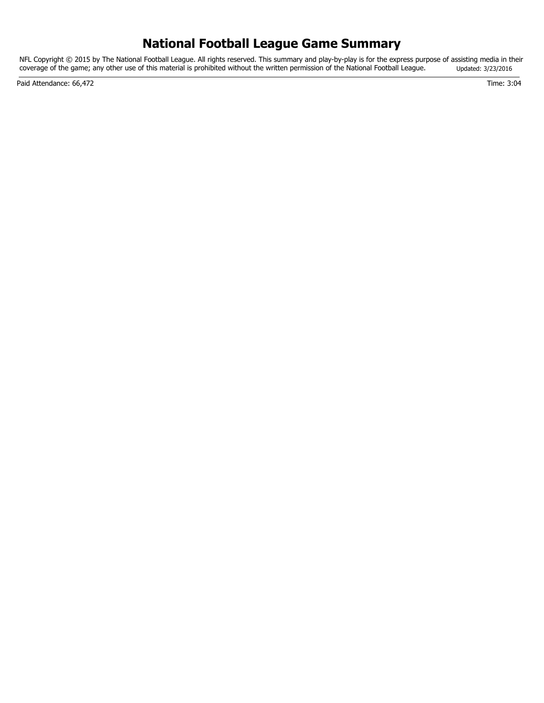## **National Football League Game Summary**

NFL Copyright © 2015 by The National Football League. All rights reserved. This summary and play-by-play is for the express purpose of assisting media in their coverage of the game; any other use of this material is prohibited without the written permission of the National Football League. Updated: 3/23/2016

Paid Attendance: 66,472 Time: 3:04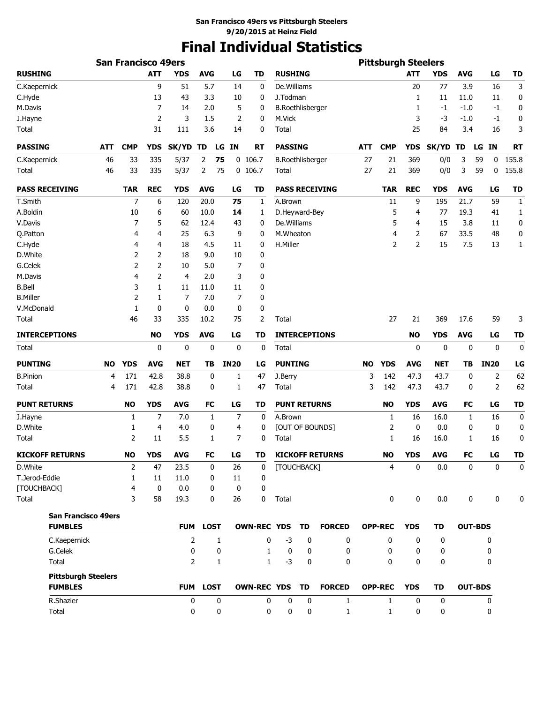# **Final Individual Statistics**

|                                              |            | <b>San Francisco 49ers</b> |                |                |              |             |                    |                     |                         |                        |           | <b>Pittsburgh Steelers</b> |                |             |                |                 |              |
|----------------------------------------------|------------|----------------------------|----------------|----------------|--------------|-------------|--------------------|---------------------|-------------------------|------------------------|-----------|----------------------------|----------------|-------------|----------------|-----------------|--------------|
| <b>RUSHING</b>                               |            |                            | <b>ATT</b>     | <b>YDS</b>     | <b>AVG</b>   | LG          | <b>TD</b>          | <b>RUSHING</b>      |                         |                        |           |                            | <b>ATT</b>     | <b>YDS</b>  | <b>AVG</b>     | LG              | <b>TD</b>    |
| C.Kaepernick                                 |            |                            | 9              | 51             | 5.7          | 14          | 0                  | De. Williams        |                         |                        |           |                            | 20             | 77          | 3.9            | 16              | 3            |
| C.Hyde                                       |            |                            | 13             | 43             | 3.3          | 10          | 0                  | J.Todman            |                         |                        |           |                            | 1              | 11          | 11.0           | 11              | 0            |
| M.Davis                                      |            |                            | 7              | 14             | 2.0          | 5           | 0                  |                     | <b>B.Roethlisberger</b> |                        |           |                            | 1              | $-1$        | $-1.0$         | -1              | 0            |
| J.Hayne                                      |            |                            | 2              | 3              | 1.5          | 2           | 0                  | M.Vick              |                         |                        |           |                            | 3              | -3          | $-1.0$         | -1              | 0            |
| Total                                        |            |                            | 31             | 111            | 3.6          | 14          | 0                  | Total               |                         |                        |           |                            | 25             | 84          | 3.4            | 16              | 3            |
| <b>PASSING</b>                               | <b>ATT</b> | <b>CMP</b>                 | <b>YDS</b>     | <b>SK/YD</b>   | TD           | LG IN       | RT                 | <b>PASSING</b>      |                         |                        | ATT       | <b>CMP</b>                 | <b>YDS</b>     | SK/YD TD    |                | <b>IN</b><br>LG | <b>RT</b>    |
| C.Kaepernick                                 | 46         | 33                         | 335            | 5/37           | 75<br>2      |             | $0$ 106.7          |                     | <b>B.Roethlisberger</b> |                        | 27        | 21                         | 369            | 0/0         | 3              | 59<br>0         | 155.8        |
| Total                                        | 46         | 33                         | 335            | 5/37           | 2<br>75      |             | $0$ 106.7          | Total               |                         |                        | 27        | 21                         | 369            | 0/0         | 3              | 59<br>0         | 155.8        |
| <b>PASS RECEIVING</b>                        |            | <b>TAR</b>                 | <b>REC</b>     | <b>YDS</b>     | <b>AVG</b>   | LG          | <b>TD</b>          |                     |                         | <b>PASS RECEIVING</b>  |           | <b>TAR</b>                 | <b>REC</b>     | <b>YDS</b>  | <b>AVG</b>     | LG              | <b>TD</b>    |
| T.Smith                                      |            | 7                          | 6              | 120            | 20.0         | 75          | 1                  | A.Brown             |                         |                        |           | 11                         | 9              | 195         | 21.7           | 59              | 1            |
| A.Boldin                                     |            | 10                         | 6              | 60             | 10.0         | 14          | 1                  | D.Heyward-Bey       |                         |                        |           | 5                          | 4              | 77          | 19.3           | 41              | 1            |
| V.Davis                                      |            | 7                          | 5              | 62             | 12.4         | 43          | 0                  | De.Williams         |                         |                        |           | 5                          | 4              | 15          | 3.8            | 11              | 0            |
| Q.Patton                                     |            | 4                          | 4              | 25             | 6.3          | 9           | 0                  | M.Wheaton           |                         |                        |           | 4                          | 2              | 67          | 33.5           | 48              | 0            |
| C.Hyde                                       |            | 4                          | 4              | 18             | 4.5          | 11          | 0                  | H.Miller            |                         |                        |           | 2                          | $\overline{2}$ | 15          | 7.5            | 13              | 1            |
| D.White                                      |            | 2                          | 2              | 18             | 9.0          | 10          | 0                  |                     |                         |                        |           |                            |                |             |                |                 |              |
| G.Celek                                      |            | 2                          | 2              | 10             | 5.0          | 7           | 0                  |                     |                         |                        |           |                            |                |             |                |                 |              |
| M.Davis                                      |            | 4                          | 2              | 4              | 2.0          | 3           | 0                  |                     |                         |                        |           |                            |                |             |                |                 |              |
| <b>B.Bell</b>                                |            | 3                          | 1              | 11             | 11.0         | 11          | 0                  |                     |                         |                        |           |                            |                |             |                |                 |              |
| <b>B.Miller</b>                              |            | 2                          | 1              | 7              | 7.0          | 7           | 0                  |                     |                         |                        |           |                            |                |             |                |                 |              |
| V.McDonald                                   |            | 1                          | 0              | 0              | 0.0          | 0           | 0                  |                     |                         |                        |           |                            |                |             |                |                 |              |
| Total                                        |            | 46                         | 33             | 335            | 10.2         | 75          | 2                  | Total               |                         |                        |           | 27                         | 21             | 369         | 17.6           | 59              | 3            |
| <b>INTERCEPTIONS</b>                         |            |                            | <b>NO</b>      | <b>YDS</b>     | <b>AVG</b>   | LG          | TD                 |                     |                         | <b>INTERCEPTIONS</b>   |           |                            | <b>NO</b>      | YDS         | <b>AVG</b>     | LG              | TD           |
| <b>Total</b>                                 |            |                            | 0              | 0              | 0            | 0           | $\mathbf 0$        | Total               |                         |                        |           |                            | 0              | 0           | 0              | 0               | 0            |
| <b>PUNTING</b>                               | <b>NO</b>  | <b>YDS</b>                 | <b>AVG</b>     | <b>NET</b>     | TВ           | <b>IN20</b> | LG                 | <b>PUNTING</b>      |                         |                        | <b>NO</b> | <b>YDS</b>                 | <b>AVG</b>     | NET         | ΤВ             | <b>IN20</b>     | LG           |
| <b>B.Pinion</b>                              | 4          | 171                        | 42.8           | 38.8           | 0            | 1           | 47                 | J.Berry             |                         |                        | 3         | 142                        | 47.3           | 43.7        | 0              | 2               | 62           |
| Total                                        | 4          | 171                        | 42.8           | 38.8           | 0            | 1           | 47                 | Total               |                         |                        | 3         | 142                        | 47.3           | 43.7        | 0              | 2               | 62           |
| <b>PUNT RETURNS</b>                          |            | <b>NO</b>                  | <b>YDS</b>     | <b>AVG</b>     | <b>FC</b>    | LG          | TD                 | <b>PUNT RETURNS</b> |                         |                        |           | <b>NO</b>                  | <b>YDS</b>     | AVG         | FC             | LG              | <b>TD</b>    |
| J.Hayne                                      |            | 1                          | $\overline{7}$ | 7.0            | 1            | 7           | 0                  | A.Brown             |                         |                        |           | 1                          | 16             | 16.0        | 1              | 16              | 0            |
| D.White                                      |            | 1                          | 4              | 4.0            | 0            | 4           | 0                  |                     |                         | [OUT OF BOUNDS]        |           | 2                          | 0              | 0.0         | 0              | 0               | 0            |
| <b>Total</b>                                 |            | 2                          | 11             | 5.5            | 1            | 7           | 0                  | Total               |                         |                        |           | 1                          | 16             | 16.0        | 1              | 16              | 0            |
| <b>KICKOFF RETURNS</b>                       |            | <b>NO</b>                  | <b>YDS</b>     | <b>AVG</b>     | FC           | LG          | TD                 |                     |                         | <b>KICKOFF RETURNS</b> |           | <b>NO</b>                  | <b>YDS</b>     | <b>AVG</b>  | FC             | LG              | TD           |
| D.White                                      |            | $\overline{2}$             | 47             | 23.5           | 0            | 26          | 0                  | [TOUCHBACK]         |                         |                        |           | 4                          | 0              | $0.0\,$     | $\pmb{0}$      | $\mathbf 0$     | $\mathbf 0$  |
| T.Jerod-Eddie                                |            | $\mathbf{1}$               | 11             | 11.0           | 0            | 11          | 0                  |                     |                         |                        |           |                            |                |             |                |                 |              |
| [TOUCHBACK]                                  |            | 4                          | $\mathbf 0$    | 0.0            | 0            | 0           | 0                  |                     |                         |                        |           |                            |                |             |                |                 |              |
| Total                                        |            | 3                          | 58             | 19.3           | 0            | 26          | 0                  | Total               |                         |                        |           | 0                          | 0              | 0.0         | 0              | 0               | $\mathbf{0}$ |
| <b>San Francisco 49ers</b><br><b>FUMBLES</b> |            |                            |                |                | FUM LOST     |             | OWN-REC YDS TD     |                     |                         | <b>FORCED</b>          |           | <b>OPP-REC</b>             | <b>YDS</b>     | <b>TD</b>   | <b>OUT-BDS</b> |                 |              |
| C.Kaepernick                                 |            |                            |                | $\overline{2}$ | $\mathbf{1}$ |             | 0                  | $-3$                | 0                       | 0                      |           | $\mathbf{0}$               | $\mathbf{0}$   | 0           |                | 0               |              |
| G.Celek                                      |            |                            |                | 0              | 0            |             | $\mathbf{1}$       | 0                   | 0                       | 0                      |           | 0                          | 0              | 0           |                | 0               |              |
| Total                                        |            |                            |                | $\overline{2}$ | 1            |             | $\mathbf{1}$       | $-3$                | 0                       | 0                      |           | 0                          | 0              | 0           |                | 0               |              |
| <b>Pittsburgh Steelers</b>                   |            |                            |                |                |              |             |                    |                     |                         |                        |           |                            |                |             |                |                 |              |
| <b>FUMBLES</b>                               |            |                            |                |                | FUM LOST     |             | <b>OWN-REC YDS</b> |                     | TD                      | <b>FORCED</b>          |           | <b>OPP-REC</b>             | <b>YDS</b>     | TD          | <b>OUT-BDS</b> |                 |              |
| R.Shazier                                    |            |                            |                | 0              | 0            |             | 0                  | 0                   | 0                       | $\mathbf{1}$           |           | $\mathbf{1}$               | 0              | $\mathbf 0$ |                | 0               |              |
| Total                                        |            |                            |                | 0              | 0            |             | 0                  | 0                   | 0                       | $\mathbf{1}$           |           | $\mathbf{1}$               | 0              | 0           |                | 0               |              |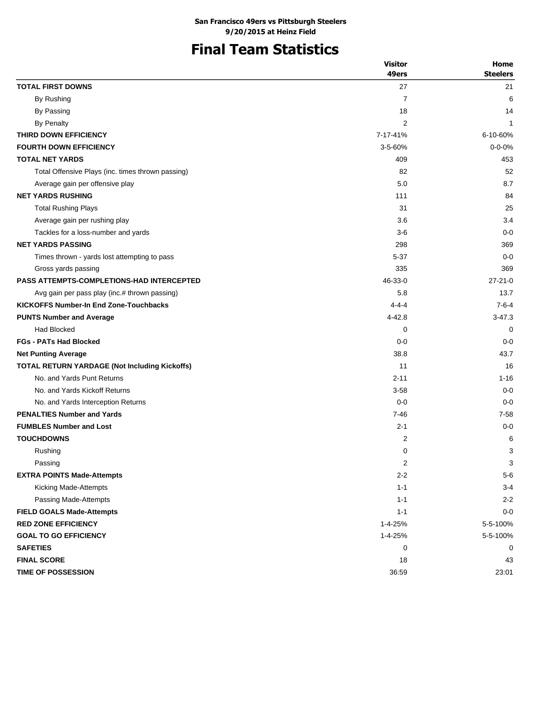# **Final Team Statistics**

|                                                      | <b>Visitor</b> | Home            |
|------------------------------------------------------|----------------|-----------------|
|                                                      | 49ers          | <b>Steelers</b> |
| <b>TOTAL FIRST DOWNS</b>                             | 27             | 21              |
| By Rushing                                           | $\overline{7}$ | 6               |
| By Passing                                           | 18             | 14              |
| By Penalty                                           | 2              | $\mathbf{1}$    |
| THIRD DOWN EFFICIENCY                                | 7-17-41%       | 6-10-60%        |
| <b>FOURTH DOWN EFFICIENCY</b>                        | $3 - 5 - 60%$  | $0 - 0 - 0%$    |
| <b>TOTAL NET YARDS</b>                               | 409            | 453             |
| Total Offensive Plays (inc. times thrown passing)    | 82             | 52              |
| Average gain per offensive play                      | 5.0            | 8.7             |
| <b>NET YARDS RUSHING</b>                             | 111            | 84              |
| <b>Total Rushing Plays</b>                           | 31             | 25              |
| Average gain per rushing play                        | 3.6            | 3.4             |
| Tackles for a loss-number and yards                  | $3-6$          | $0 - 0$         |
| <b>NET YARDS PASSING</b>                             | 298            | 369             |
| Times thrown - yards lost attempting to pass         | 5-37           | $0 - 0$         |
| Gross yards passing                                  | 335            | 369             |
| <b>PASS ATTEMPTS-COMPLETIONS-HAD INTERCEPTED</b>     | 46-33-0        | $27 - 21 - 0$   |
| Avg gain per pass play (inc.# thrown passing)        | 5.8            | 13.7            |
| <b>KICKOFFS Number-In End Zone-Touchbacks</b>        | $4 - 4 - 4$    | $7 - 6 - 4$     |
| <b>PUNTS Number and Average</b>                      | 4-42.8         | $3 - 47.3$      |
| Had Blocked                                          | 0              | 0               |
| <b>FGs - PATs Had Blocked</b>                        | $0 - 0$        | $0 - 0$         |
| <b>Net Punting Average</b>                           | 38.8           | 43.7            |
| <b>TOTAL RETURN YARDAGE (Not Including Kickoffs)</b> | 11             | 16              |
| No. and Yards Punt Returns                           | $2 - 11$       | $1 - 16$        |
| No. and Yards Kickoff Returns                        | $3 - 58$       | $0 - 0$         |
| No. and Yards Interception Returns                   | $0 - 0$        | $0 - 0$         |
| <b>PENALTIES Number and Yards</b>                    | $7 - 46$       | $7 - 58$        |
| <b>FUMBLES Number and Lost</b>                       | $2 - 1$        | $0 - 0$         |
| <b>TOUCHDOWNS</b>                                    | 2              | 6               |
| Rushing                                              | 0              | 3               |
| Passing                                              | 2              | 3               |
| <b>EXTRA POINTS Made-Attempts</b>                    | $2 - 2$        | $5-6$           |
| Kicking Made-Attempts                                | $1 - 1$        | $3 - 4$         |
| Passing Made-Attempts                                | $1 - 1$        | $2 - 2$         |
| <b>FIELD GOALS Made-Attempts</b>                     | $1 - 1$        | $0-0$           |
| <b>RED ZONE EFFICIENCY</b>                           | 1-4-25%        | 5-5-100%        |
| <b>GOAL TO GO EFFICIENCY</b>                         | 1-4-25%        | 5-5-100%        |
| <b>SAFETIES</b>                                      | 0              | 0               |
| <b>FINAL SCORE</b>                                   | 18             | 43              |
| <b>TIME OF POSSESSION</b>                            | 36:59          | 23:01           |
|                                                      |                |                 |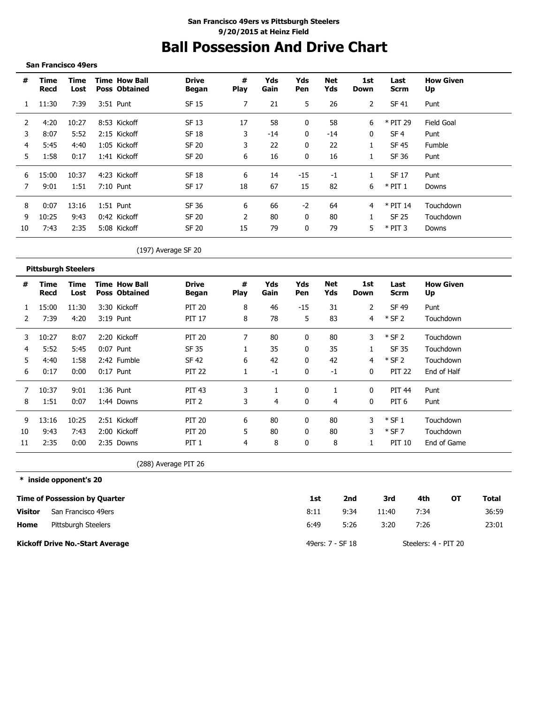# **Ball Possession And Drive Chart**

#### **San Francisco 49ers**

--------------------------------------

| #  | Time<br>Recd | Time<br>Lost | <b>Time How Ball</b><br><b>Poss Obtained</b> | <b>Drive</b><br>Began | #<br><b>Play</b> | Yds<br>Gain | Yds<br><b>Pen</b> | Net<br>Yds | 1st<br>Down  | Last<br>Scrm    | <b>How Given</b><br>Up |
|----|--------------|--------------|----------------------------------------------|-----------------------|------------------|-------------|-------------------|------------|--------------|-----------------|------------------------|
|    | 11:30        | 7:39         | 3:51 Punt                                    | SF 15                 | 7                | 21          | 5                 | 26         | 2            | SF 41           | Punt                   |
|    | 4:20         | 10:27        | 8:53 Kickoff                                 | SF 13                 | 17               | 58          |                   | 58         | 6            | * PIT 29        | Field Goal             |
| 3  | 8:07         | 5:52         | 2:15 Kickoff                                 | SF 18                 | 3                | -14         | 0                 | $-14$      | $\mathbf{0}$ | SF <sub>4</sub> | Punt                   |
| 4  | 5:45         | 4:40         | 1:05 Kickoff                                 | SF 20                 | 3                | 22          |                   | 22         |              | SF 45           | Fumble                 |
| 5. | 1:58         | 0:17         | 1:41 Kickoff                                 | SF 20                 | 6                | 16          | 0                 | 16         |              | SF 36           | Punt                   |
| 6  | 15:00        | 10:37        | 4:23 Kickoff                                 | SF 18                 | 6                | 14          | $-15$             | $-1$       |              | SF 17           | Punt                   |
|    | 9:01         | 1:51         | 7:10 Punt                                    | SF 17                 | 18               | 67          | 15                | 82         | 6            | $*$ PIT 1       | Downs                  |
| 8  | 0:07         | 13:16        | $1:51$ Punt                                  | SF 36                 | 6                | 66          | $-2$              | 64         |              | $*$ PIT 14      | Touchdown              |
| 9  | 10:25        | 9:43         | 0:42 Kickoff                                 | SF 20                 |                  | 80          |                   | 80         |              | SF 25           | Touchdown              |
| 10 | 7:43         | 2:35         | 5:08 Kickoff                                 | SF 20                 | 15               | 79          | 0                 | 79         | 5            | $*$ PIT 3       | Downs                  |

### (197) Average SF 20

|    | <b>Pittsburgh Steelers</b> |              |                                              |                              |           |             |              |                   |              |                     |                        |
|----|----------------------------|--------------|----------------------------------------------|------------------------------|-----------|-------------|--------------|-------------------|--------------|---------------------|------------------------|
| #  | Time<br>Recd               | Time<br>Lost | <b>Time How Ball</b><br><b>Poss Obtained</b> | <b>Drive</b><br><b>Began</b> | #<br>Play | Yds<br>Gain | Yds<br>Pen   | <b>Net</b><br>Yds | 1st<br>Down  | Last<br><b>Scrm</b> | <b>How Given</b><br>Up |
|    | 15:00                      | 11:30        | 3:30 Kickoff                                 | <b>PIT 20</b>                | 8         | 46          | $-15$        | 31                | 2            | <b>SF 49</b>        | Punt                   |
| 2  | 7:39                       | 4:20         | 3:19 Punt                                    | <b>PIT 17</b>                | 8         | 78          | 5            | 83                | 4            | $*$ SF 2            | Touchdown              |
| 3  | 10:27                      | 8:07         | 2:20 Kickoff                                 | <b>PIT 20</b>                |           | 80          | 0            | 80                | 3            | $*$ SF 2            | Touchdown              |
| 4  | 5:52                       | 5:45         | 0:07 Punt                                    | SF 35                        |           | 35          | $\Omega$     | 35                |              | SF 35               | Touchdown              |
| 5  | 4:40                       | 1:58         | 2:42 Fumble                                  | <b>SF 42</b>                 | 6         | 42          | 0            | 42                | 4            | $*$ SF 2            | Touchdown              |
| 6  | 0:17                       | 0:00         | $0:17$ Punt                                  | <b>PIT 22</b>                |           | $-1$        | 0            | $-1$              | 0            | <b>PIT 22</b>       | End of Half            |
|    | 10:37                      | 9:01         | 1:36 Punt                                    | <b>PIT 43</b>                | 3         |             | 0            |                   | $\mathbf{0}$ | <b>PIT 44</b>       | Punt                   |
| 8  | 1:51                       | 0:07         | 1:44 Downs                                   | PIT <sub>2</sub>             | 3         | 4           | $\mathbf{0}$ | 4                 | 0            | PIT <sub>6</sub>    | Punt                   |
| 9  | 13:16                      | 10:25        | 2:51 Kickoff                                 | <b>PIT 20</b>                | 6         | 80          | 0            | 80                | 3            | $*$ SF 1            | Touchdown              |
| 10 | 9:43                       | 7:43         | 2:00 Kickoff                                 | <b>PIT 20</b>                | 5         | 80          | 0            | 80                | 3            | $*$ SF 7            | Touchdown              |
| 11 | 2:35                       | 0:00         | 2:35 Downs                                   | PIT <sub>1</sub>             | 4         | 8           | $\Omega$     | 8                 |              | <b>PIT 10</b>       | End of Game            |

(288) Average PIT 26

#### **\* inside opponent's 20**

|                | <b>Time of Possession by Quarter</b> | 1st  | 2nd              | 3rd   | 4th                  | от | Total |
|----------------|--------------------------------------|------|------------------|-------|----------------------|----|-------|
| <b>Visitor</b> | San Francisco 49ers                  | 8:11 | 9:34             | 11:40 | 7:34                 |    | 36:59 |
| Home           | Pittsburgh Steelers                  | 6:49 | 5:26             | 3:20  | 7:26                 |    | 23:01 |
|                | Kickoff Drive No.-Start Average      |      | 49ers: 7 - SF 18 |       | Steelers: 4 - PIT 20 |    |       |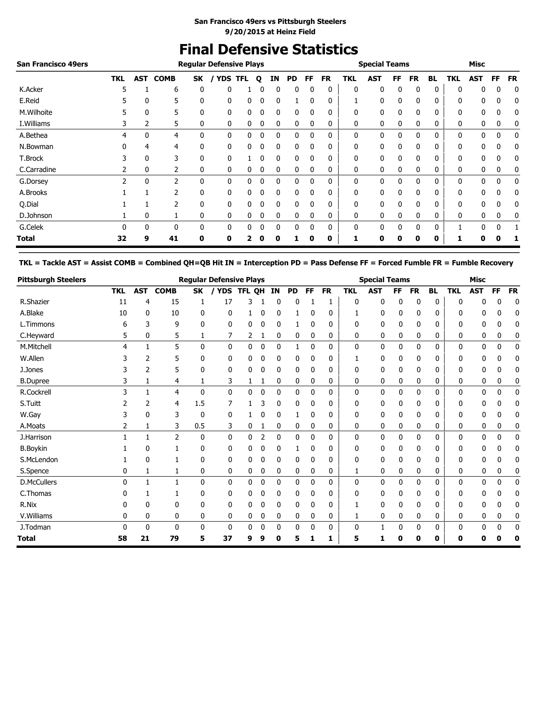# **Final Defensive Statistics**

| <b>San Francisco 49ers</b> |            |              |             |    | <b>Regular Defensive Plays</b> |            |          |              |    |          |           |            | <b>Special Teams</b> |          |           |           |            | <b>Misc</b> |           |           |
|----------------------------|------------|--------------|-------------|----|--------------------------------|------------|----------|--------------|----|----------|-----------|------------|----------------------|----------|-----------|-----------|------------|-------------|-----------|-----------|
|                            | <b>TKL</b> | AST          | <b>COMB</b> | SK | <b>YDS</b>                     | <b>TFL</b> | Q        | ΙN           | PD | FF.      | <b>FR</b> | <b>TKL</b> | <b>AST</b>           | FF       | <b>FR</b> | <b>BL</b> | <b>TKL</b> | <b>AST</b>  | <b>FF</b> | <b>FR</b> |
| K.Acker                    | 5          |              | 6           | 0  | 0                              |            |          | 0            | 0  |          | 0         | 0          | 0                    | 0        | 0         | 0         | 0          | 0           | 0         | 0         |
| E.Reid                     |            | $\mathbf{0}$ | 5           | 0  | 0                              | 0          | O        | 0            |    |          | 0         |            | 0                    | 0        | 0         | 0         | 0          | 0           | 0         | 0         |
| M.Wilhoite                 |            | 0            | 5           | 0  | 0                              | 0          | 0        | 0            | 0  | 0        | 0         | 0          | 0                    | 0        | 0         | 0         | 0          | 0           | 0         | 0         |
| I. Williams                | 3          | 2            | 5           | 0  | 0                              | 0          | 0        | 0            | 0  | 0        | 0         | 0          | 0                    | 0        | 0         | 0         | 0          | 0           | 0         | 0         |
| A.Bethea                   | 4          | 0            | 4           | 0  | 0                              | 0          | 0        | 0            | 0  | 0        | 0         | 0          | 0                    | 0        | 0         | 0         | 0          | 0           | 0         | 0         |
| N.Bowman                   |            | 4            | 4           | 0  | 0                              | 0          | 0        | 0            | 0  |          | 0         | 0          | 0                    | 0        | 0         | 0         | 0          | 0           | 0         | 0         |
| T.Brock                    |            | 0            | 3           | 0  | 0                              |            | 0        | 0            | 0  | 0        | 0         | 0          | 0                    | 0        | 0         | 0         | 0          | 0           | 0         | 0         |
| C.Carradine                |            | 0            | 2           | 0  | 0                              | 0          | 0        | 0            | 0  | 0        | 0         | 0          | 0                    | 0        | 0         | 0         | 0          | 0           | 0         | 0         |
| G.Dorsey                   |            | $\Omega$     | 2           | 0  | 0                              | 0          | $\Omega$ | 0            | 0  | $\Omega$ | 0         | 0          | 0                    | $\Omega$ | 0         | 0         | 0          | $\Omega$    | 0         | 0         |
| A.Brooks                   |            |              | 2           | 0  | 0                              | 0          |          | 0            | 0  | 0        | 0         | 0          | 0                    | 0        | 0         | 0         | 0          | 0           | 0         | 0         |
| Q.Dial                     |            |              | 2           | 0  | 0                              | 0          | 0        | $\mathbf{0}$ | 0  | 0        | 0         | 0          | 0                    | 0        | 0         | 0         | 0          | 0           | 0         | 0         |
| D.Johnson                  |            | 0            |             | 0  | 0                              | 0          |          | 0            | 0  | $\Omega$ | 0         | 0          | 0                    |          | 0         | 0         | 0          | 0           | 0         | 0         |
| G.Celek                    |            | $\Omega$     | 0           | 0  | 0                              | 0          | 0        | 0            | 0  |          | 0         | $\Omega$   | 0                    |          | 0         | 0         |            | $\Omega$    | 0         |           |
| Total                      | 32         | 9            | 41          | 0  | 0                              | 2          | 0        | 0            |    | 0        | 0         |            | 0                    | 0        | 0         | 0         |            | 0           |           |           |

**TKL = Tackle AST = Assist COMB = Combined QH=QB Hit IN = Interception PD = Pass Defense FF = Forced Fumble FR = Fumble Recovery**

| <b>Pittsburgh Steelers</b> |            |            |                |              | <b>Regular Defensive Plays</b> |            |   |              |           |           |           |            | <b>Special Teams</b> |          |           |              |            | <b>Misc</b>  |              |              |
|----------------------------|------------|------------|----------------|--------------|--------------------------------|------------|---|--------------|-----------|-----------|-----------|------------|----------------------|----------|-----------|--------------|------------|--------------|--------------|--------------|
|                            | <b>TKL</b> | <b>AST</b> | <b>COMB</b>    | <b>SK</b>    |                                | YDS TFL OH |   | <b>IN</b>    | <b>PD</b> | <b>FF</b> | <b>FR</b> | <b>TKL</b> | <b>AST</b>           | FF       | <b>FR</b> | <b>BL</b>    | <b>TKL</b> | <b>AST</b>   | <b>FF</b>    | <b>FR</b>    |
| R.Shazier                  | 11         | 4          | 15             | 1            | 17                             | 3          |   | 0            | 0         |           |           | 0          | 0                    | 0        | 0         | 0            | 0          | n            | 0            | 0            |
| A.Blake                    | 10         | 0          | 10             | 0            | 0                              | 1          | 0 | 0            |           | 0         | 0         | 1          | 0                    | 0        | 0         | 0            | 0          | 0            | 0            | 0            |
| L.Timmons                  | 6          | 3          | 9              | 0            | 0                              | 0          | 0 | 0            |           | 0         | 0         | 0          | 0                    | 0        | 0         | 0            | 0          | 0            | 0            | 0            |
| C.Heyward                  | 5          | 0          | 5              | 1            | 7                              | 2          | 1 | 0            | 0         | 0         | 0         | 0          | 0                    | 0        | 0         | 0            | 0          | 0            | 0            | 0            |
| M.Mitchell                 | 4          | 1          | 5              | $\Omega$     | 0                              | 0          | 0 | $\Omega$     |           | $\Omega$  | 0         | 0          | 0                    | $\Omega$ | 0         | $\mathbf{0}$ | 0          | 0            | 0            | $\mathbf{0}$ |
| W.Allen                    |            | 2          | 5              | 0            | 0                              | 0          | 0 | 0            | 0         | 0         | 0         | 1          | 0                    | 0        | 0         | 0            | 0          | 0            | ŋ            | 0            |
| J.Jones                    |            | 2          | 5              | $\mathbf{0}$ | 0                              | 0          | 0 | 0            | 0         | 0         | 0         | 0          | 0                    | 0        | 0         | 0            | 0          | 0            | 0            | 0            |
| <b>B.Dupree</b>            | 3          | 1          | 4              |              | 3                              | 1          |   | 0            | 0         | 0         | 0         | 0          | 0                    | 0        | 0         | 0            | 0          | 0            | 0            | 0            |
| R.Cockrell                 | 3          | 1          | $\overline{4}$ | $\mathbf{0}$ | 0                              | 0          | 0 | 0            | 0         | 0         | 0         | 0          | 0                    | 0        | 0         | 0            | 0          | $\mathbf{0}$ | 0            | 0            |
| S.Tuitt                    |            | 2          | 4              | 1.5          | 7                              |            | 3 | 0            | 0         | 0         | 0         | 0          | 0                    | 0        | 0         | 0            | 0          | 0            |              | 0            |
| W.Gay                      | 3          | 0          | 3              | 0            | 0                              |            | 0 | 0            |           | 0         | 0         | 0          | 0                    | 0        | 0         | 0            | 0          | 0            | 0            | 0            |
| A.Moats                    | 2          | 1          | 3              | 0.5          | 3                              | 0          |   | 0            | 0         | 0         | 0         | 0          | 0                    | 0        | 0         | 0            | 0          | 0            | 0            | 0            |
| J.Harrison                 |            | 1          | $\overline{2}$ | 0            | 0                              | 0          | 2 | 0            | 0         | 0         | 0         | 0          | 0                    | 0        | 0         | 0            | 0          | 0            | 0            | 0            |
| <b>B.Boykin</b>            |            | 0          |                | 0            | 0                              | 0          | 0 | 0            |           | 0         | 0         | 0          | 0                    | 0        | 0         | 0            | 0          | 0            | 0            | 0            |
| S.McLendon                 |            | 0          |                | 0            | 0                              | 0          | 0 | 0            | 0         | 0         | 0         | 0          | 0                    | 0        | 0         | 0            | 0          | 0            | 0            | 0            |
| S.Spence                   | 0          | 1          | 1              | 0            | 0                              | 0          | 0 | 0            | 0         | 0         | 0         |            | 0                    | 0        | 0         | 0            | 0          | 0            | 0            | 0            |
| <b>D.McCullers</b>         | 0          | 1          | $\mathbf{1}$   | $\mathbf{0}$ | 0                              | 0          | 0 | $\mathbf{0}$ | 0         | $\Omega$  | 0         | 0          | 0                    | $\Omega$ | 0         | 0            | 0          | 0            | $\mathbf{0}$ | 0            |
| C.Thomas                   |            |            |                | 0            | 0                              | 0          | 0 | 0            | 0         | 0         | 0         | 0          | 0                    | 0        | 0         | 0            | ŋ          | 0            |              | 0            |
| R.Nix                      | n          | 0          | $\Omega$       | 0            | 0                              | 0          | 0 | 0            | 0         | 0         | 0         |            | 0                    | 0        | 0         | 0            | 0          | 0            | 0            | 0            |
| V.Williams                 | 0          | 0          | 0              | 0            | 0                              | 0          | 0 | 0            | 0         | 0         | 0         | 1          | 0                    | 0        | 0         | 0            | 0          | 0            | 0            | 0            |
| J.Todman                   | 0          | 0          | $\mathbf 0$    | $\mathbf{0}$ | $\mathbf 0$                    | 0          | 0 | 0            | 0         | 0         | 0         | 0          | 1                    | 0        | 0         | 0            | 0          | 0            | 0            | $\mathbf 0$  |
| <b>Total</b>               | 58         | 21         | 79             | 5            | 37                             | 9          | 9 | 0            | 5         |           | 1         | 5          | 1                    | 0        | 0         | 0            | 0          | 0            | 0            | 0            |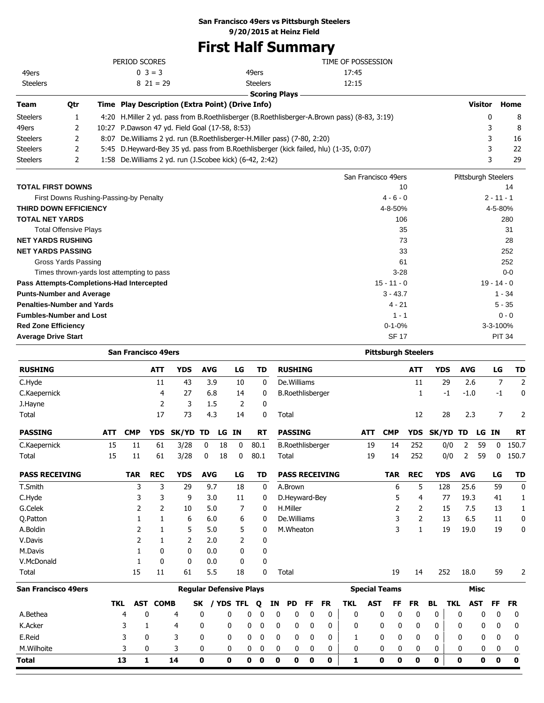### **San Francisco 49ers vs Pittsburgh Steelers**

**9/20/2015 at Heinz Field**

# **First Half Summary**

|                                        |              | PERIOD SCORES                                                                          |                                                                                             | TIME OF POSSESSION  |                     |         |
|----------------------------------------|--------------|----------------------------------------------------------------------------------------|---------------------------------------------------------------------------------------------|---------------------|---------------------|---------|
| 49ers                                  |              | $0 \ 3 = 3$                                                                            | 49ers                                                                                       | 17:45               |                     |         |
| <b>Steelers</b>                        |              | $8\,21=29$                                                                             | <b>Steelers</b>                                                                             | 12:15               |                     |         |
|                                        |              |                                                                                        | <b>Scoring Plays</b>                                                                        |                     |                     |         |
| <b>Team</b>                            | Qtr          | Time Play Description (Extra Point) (Drive Info)                                       |                                                                                             |                     | <b>Visitor</b>      | Home    |
| <b>Steelers</b>                        |              |                                                                                        | 4:20 H.Miller 2 yd. pass from B.Roethlisberger (B.Roethlisberger-A.Brown pass) (8-83, 3:19) |                     | 0                   | 8       |
| 49ers                                  | $\mathbf{2}$ | 10:27 P.Dawson 47 yd. Field Goal (17-58, 8:53)                                         |                                                                                             |                     |                     | 8       |
| <b>Steelers</b>                        | 2            | De. Williams 2 yd. run (B. Roethlisberger-H. Miller pass) (7-80, 2:20)                 | 3                                                                                           | 16                  |                     |         |
| <b>Steelers</b>                        | 2            | 5:45 D. Heyward-Bey 35 yd. pass from B. Roethlisberger (kick failed, hlu) (1-35, 0:07) |                                                                                             | 22                  |                     |         |
| <b>Steelers</b>                        | 2            | 1:58 De. Williams 2 yd. run (J. Scobee kick) (6-42, 2:42)                              |                                                                                             |                     | 3                   | 29      |
|                                        |              |                                                                                        |                                                                                             | San Francisco 49ers | Pittsburgh Steelers |         |
| <b>TOTAL FIRST DOWNS</b>               |              |                                                                                        |                                                                                             | 10                  |                     | 14      |
| First Downs Rushing-Passing-by Penalty |              | $2 - 11 - 1$                                                                           |                                                                                             |                     |                     |         |
| <b>THIRD DOWN EFFICIENCY</b>           |              |                                                                                        |                                                                                             | 4-8-50%             |                     | 4-5-80% |
| <b>TOTAL NET YARDS</b>                 |              |                                                                                        |                                                                                             | 106                 |                     | 280     |

| <b>Total Offensive Plays</b>               | 35            | -31           |
|--------------------------------------------|---------------|---------------|
| <b>NET YARDS RUSHING</b>                   | 73            | 28            |
| <b>NET YARDS PASSING</b>                   | 33            | 252           |
| Gross Yards Passing                        | 61            | 252           |
| Times thrown-yards lost attempting to pass | $3 - 28$      | $0-0$         |
| Pass Attempts-Completions-Had Intercepted  | $15 - 11 - 0$ | $19 - 14 - 0$ |
| <b>Punts-Number and Average</b>            | $3 - 43.7$    | $1 - 34$      |
| <b>Penalties-Number and Yards</b>          | $4 - 21$      | $5 - 35$      |
| <b>Fumbles-Number and Lost</b>             | $1 - 1$       | $0 - 0$       |
| <b>Red Zone Efficiency</b>                 | $0 - 1 - 0%$  | 3-3-100%      |
| <b>Average Drive Start</b>                 | <b>SF 17</b>  | <b>PIT 34</b> |

|                            |            | <b>San Francisco 49ers</b> |                 |                                |             |     |              |      |           |             |                         |             |                       |              |            | <b>Pittsburgh Steelers</b> |              |              |            |                |             |             |                |
|----------------------------|------------|----------------------------|-----------------|--------------------------------|-------------|-----|--------------|------|-----------|-------------|-------------------------|-------------|-----------------------|--------------|------------|----------------------------|--------------|--------------|------------|----------------|-------------|-------------|----------------|
| <b>RUSHING</b>             |            |                            | <b>ATT</b>      | <b>YDS</b>                     | <b>AVG</b>  |     | LG           |      | <b>TD</b> |             | <b>RUSHING</b>          |             |                       |              |            |                            | <b>ATT</b>   | <b>YDS</b>   |            | <b>AVG</b>     |             | LG          | <b>TD</b>      |
| C.Hyde                     |            |                            | 11              | 43                             |             | 3.9 | 10           |      | 0         |             | De.Williams             |             |                       |              |            |                            | 11           |              | 29         | 2.6            |             | 7           | $\overline{2}$ |
| C.Kaepernick               |            |                            | 4               | 27                             |             | 6.8 | 14           |      | 0         |             | <b>B.Roethlisberger</b> |             |                       |              |            |                            | 1            |              | -1         | $-1.0$         |             | $-1$        | 0              |
| J.Hayne                    |            |                            | 2               | 3                              |             | 1.5 | 2            |      | 0         |             |                         |             |                       |              |            |                            |              |              |            |                |             |             |                |
| Total                      |            |                            | 17              | 73                             |             | 4.3 | 14           |      | 0         |             | Total                   |             |                       |              |            |                            | 12           |              | 28         | 2.3            |             | 7           | 2              |
| <b>PASSING</b>             | <b>ATT</b> | <b>CMP</b>                 | <b>YDS</b>      | <b>SK/YD</b>                   | TD          |     | LG IN        |      | <b>RT</b> |             | <b>PASSING</b>          |             |                       |              | <b>ATT</b> | <b>CMP</b>                 | <b>YDS</b>   | SK/YD TD     |            |                | LG IN       |             | <b>RT</b>      |
| C.Kaepernick               | 15         | 11                         | 61              | 3/28                           | 0           | 18  | 0            | 80.1 |           |             | <b>B.Roethlisberger</b> |             |                       |              | 19         | 14                         | 252          |              | 0/0        | 2              | 59          | 0           | 150.7          |
| Total                      | 15         | 11                         | 61              | 3/28                           | 0           | 18  | 0            | 80.1 |           |             | Total                   |             |                       |              | 19         | 14                         | 252          |              | 0/0        | $\overline{2}$ | 59          | 0           | 150.7          |
| <b>PASS RECEIVING</b>      |            | <b>TAR</b>                 | <b>REC</b>      | <b>YDS</b>                     | <b>AVG</b>  |     | LG           |      | TD        |             |                         |             | <b>PASS RECEIVING</b> |              |            | <b>TAR</b>                 | <b>REC</b>   | <b>YDS</b>   |            | <b>AVG</b>     |             | LG          | <b>TD</b>      |
| T.Smith                    |            | 3                          | 3               | 29                             |             | 9.7 | 18           |      | 0         |             | A.Brown                 |             |                       |              |            | 6                          | 5            |              | 128        | 25.6           |             | 59          | $\mathbf 0$    |
| C.Hyde                     |            | 3                          | 3               | 9                              |             | 3.0 | 11           |      | 0         |             | D.Heyward-Bey           |             |                       |              |            | 5                          | 4            |              | 77         | 19.3           |             | 41          | 1              |
| G.Celek                    |            | 2                          | 2               | 10                             |             | 5.0 | 7            |      | 0         |             | H.Miller                |             |                       |              |            | 2                          | 2            |              | 15         | 7.5            |             | 13          | 1              |
| Q.Patton                   |            | 1                          | 1               | 6                              |             | 6.0 | 6            |      | 0         |             | De.Williams             |             |                       |              |            | 3                          | 2            |              | 13         | 6.5            |             | 11          | 0              |
| A.Boldin                   |            | 2                          | 1               | 5                              |             | 5.0 | 5            |      | 0         |             | M.Wheaton               |             |                       |              |            | 3                          | $\mathbf{1}$ |              | 19         | 19.0           |             | 19          | 0              |
| V.Davis                    |            | 2                          | $\mathbf{1}$    | 2                              |             | 2.0 | 2            |      | 0         |             |                         |             |                       |              |            |                            |              |              |            |                |             |             |                |
| M.Davis                    |            | 1                          | $\mathbf{0}$    | $\mathbf{0}$                   |             | 0.0 | $\mathbf{0}$ |      | 0         |             |                         |             |                       |              |            |                            |              |              |            |                |             |             |                |
| V.McDonald                 |            | 1                          | $\mathbf{0}$    | $\mathbf{0}$                   |             | 0.0 | 0            |      | 0         |             |                         |             |                       |              |            |                            |              |              |            |                |             |             |                |
| Total                      |            | 15                         | 11              | 61                             |             | 5.5 | 18           |      | 0         |             | Total                   |             |                       |              |            | 19                         | 14           |              | 252        | 18.0           |             | 59          | 2              |
| <b>San Francisco 49ers</b> |            |                            |                 | <b>Regular Defensive Plays</b> |             |     |              |      |           |             |                         |             |                       |              |            | <b>Special Teams</b>       |              |              |            |                | <b>Misc</b> |             |                |
|                            | <b>TKL</b> |                            | <b>AST COMB</b> |                                | SK.         |     | / YDS TFL    | Q    |           | ΙN          | PD                      | FF          | <b>FR</b>             | <b>TKL</b>   | <b>AST</b> | FF                         | <b>FR</b>    | BL.          | <b>TKL</b> |                | <b>AST</b>  | FF          | <b>FR</b>      |
| A.Bethea                   |            | 4                          | 0               | 4                              | 0           |     | 0            | 0    | 0         | 0           | 0                       | 0           | 0                     | 0            |            | 0<br>0                     | 0            | 0            |            | 0              | 0           | 0           | 0              |
| K.Acker                    |            | 3                          | 1               | 4                              | 0           |     | 0            | 0    | 0         | 0           | 0                       | 0           | 0                     | 0            |            | 0<br>0                     | 0            | 0            |            | 0              | 0           | 0           | 0              |
| E.Reid                     |            | 3                          | 0               | 3                              | 0           |     | 0            | 0    | 0         | 0           | 0                       | 0           | 0                     | 1            |            | 0<br>0                     | 0            | 0            |            | 0              | 0           | 0           | 0              |
| M.Wilhoite                 |            | 3                          | 0               | 3                              | 0           |     | 0            | 0    | 0         | 0           | 0                       | 0           | 0                     | 0            |            | 0<br>0                     | 0            | 0            |            | 0              | 0           | 0           | 0              |
| <b>Total</b>               |            | 13                         | $\mathbf{1}$    | 14                             | $\mathbf 0$ |     | 0            | 0    | 0         | $\mathbf 0$ | $\mathbf 0$             | $\mathbf 0$ | O                     | $\mathbf{1}$ |            | $\mathbf 0$<br>0           | $\mathbf{0}$ | $\mathbf{0}$ |            | O              | $\mathbf 0$ | $\mathbf 0$ | $\mathbf 0$    |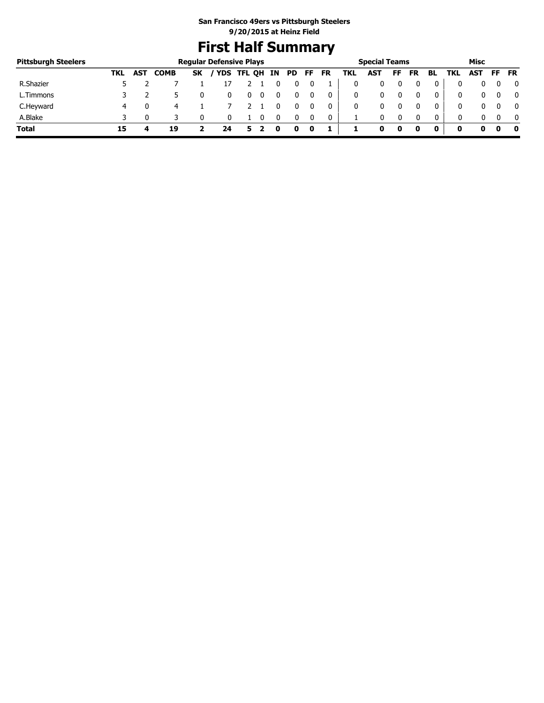# **First Half Summary**

| <b>Pittsburgh Steelers</b> |     |            |             |           | <b>Regular Defensive Plays</b> |        |    |     |    |    |     | <b>Special Teams</b> |    |           |              |     | Misc       |     |              |
|----------------------------|-----|------------|-------------|-----------|--------------------------------|--------|----|-----|----|----|-----|----------------------|----|-----------|--------------|-----|------------|-----|--------------|
|                            | TKL | <b>AST</b> | <b>COMB</b> | <b>SK</b> | / YDS                          | TFL QH | IN | PD. | FF | FR | TKL | <b>AST</b>           | FF | <b>FR</b> | BL           | TKL | <b>AST</b> | FF. | <b>FR</b>    |
| R.Shazier                  |     |            |             |           |                                |        |    |     |    |    |     |                      |    |           | 0            |     |            |     | 0            |
| L.Timmons                  |     |            |             |           |                                |        |    |     |    | 0  |     | 0                    |    |           | 0            | 0   |            |     | $\mathbf{0}$ |
| C.Heyward                  | 4   |            | 4           |           |                                |        |    |     |    | 0  |     |                      |    |           | 0            | 0   |            |     | $\mathbf{0}$ |
| A.Blake                    |     |            |             |           |                                |        |    |     |    | 0  |     | 0                    |    | $\Omega$  | $\mathbf{0}$ | 0   |            |     | $\mathbf{0}$ |
| <b>Total</b>               | 15  |            | 19          |           | 24                             | 5      | O  | O   | 0  | ı  |     |                      | 0  |           | 0            | o   |            |     | - 0          |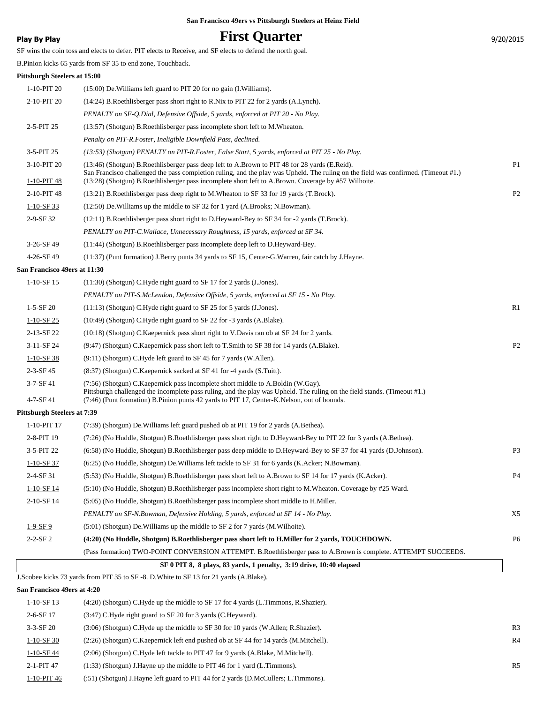### **Play By Play Play Play Play Play By Play Play By Play Play By Play Play Play Play Play Play Play Play Play Play Play Play Play Play Play Play Play Play Play Play Play**

SF wins the coin toss and elects to defer. PIT elects to Receive, and SF elects to defend the north goal.

B.Pinion kicks 65 yards from SF 35 to end zone, Touchback.

#### **Pittsburgh Steelers at 15:00**

| 1-10-PIT 20                        | (15:00) De Williams left guard to PIT 20 for no gain (I. Williams).                                                                                                                                                                                                                                                                        |                |
|------------------------------------|--------------------------------------------------------------------------------------------------------------------------------------------------------------------------------------------------------------------------------------------------------------------------------------------------------------------------------------------|----------------|
| 2-10-PIT 20                        | (14:24) B.Roethlisberger pass short right to R.Nix to PIT 22 for 2 yards (A.Lynch).                                                                                                                                                                                                                                                        |                |
|                                    | PENALTY on SF-Q.Dial, Defensive Offside, 5 yards, enforced at PIT 20 - No Play.                                                                                                                                                                                                                                                            |                |
| 2-5-PIT 25                         | (13:57) (Shotgun) B.Roethlisberger pass incomplete short left to M.Wheaton.                                                                                                                                                                                                                                                                |                |
|                                    | Penalty on PIT-R.Foster, Ineligible Downfield Pass, declined.                                                                                                                                                                                                                                                                              |                |
| 3-5-PIT 25                         | (13:53) (Shotgun) PENALTY on PIT-R.Foster, False Start, 5 yards, enforced at PIT 25 - No Play.                                                                                                                                                                                                                                             |                |
| 3-10-PIT 20<br>1-10-PIT 48         | (13:46) (Shotgun) B.Roethlisberger pass deep left to A.Brown to PIT 48 for 28 yards (E.Reid).<br>San Francisco challenged the pass completion ruling, and the play was Upheld. The ruling on the field was confirmed. (Timeout #1.)<br>(13:28) (Shotgun) B.Roethlisberger pass incomplete short left to A.Brown. Coverage by #57 Wilhoite. | P <sub>1</sub> |
| 2-10-PIT 48                        | (13:21) B.Roethlisberger pass deep right to M.Wheaton to SF 33 for 19 yards (T.Brock).                                                                                                                                                                                                                                                     | P <sub>2</sub> |
| $1-10-SF$ 33                       | (12:50) De. Williams up the middle to SF 32 for 1 yard (A.Brooks; N.Bowman).                                                                                                                                                                                                                                                               |                |
| 2-9-SF 32                          | (12:11) B.Roethlisberger pass short right to D.Heyward-Bey to SF 34 for -2 yards (T.Brock).                                                                                                                                                                                                                                                |                |
|                                    | PENALTY on PIT-C. Wallace, Unnecessary Roughness, 15 yards, enforced at SF 34.                                                                                                                                                                                                                                                             |                |
| 3-26-SF 49                         | (11:44) (Shotgun) B.Roethlisberger pass incomplete deep left to D.Heyward-Bey.                                                                                                                                                                                                                                                             |                |
| 4-26-SF 49                         | (11:37) (Punt formation) J.Berry punts 34 yards to SF 15, Center-G.Warren, fair catch by J.Hayne.                                                                                                                                                                                                                                          |                |
| San Francisco 49ers at 11:30       |                                                                                                                                                                                                                                                                                                                                            |                |
| 1-10-SF 15                         | (11:30) (Shotgun) C.Hyde right guard to SF 17 for 2 yards (J.Jones).                                                                                                                                                                                                                                                                       |                |
|                                    | PENALTY on PIT-S.McLendon, Defensive Offside, 5 yards, enforced at SF 15 - No Play.                                                                                                                                                                                                                                                        |                |
| $1 - 5 - SF$ 20                    | (11:13) (Shotgun) C.Hyde right guard to SF 25 for 5 yards (J.Jones).                                                                                                                                                                                                                                                                       | R <sub>1</sub> |
| $1-10-SF25$                        | $(10:49)$ (Shotgun) C. Hyde right guard to SF 22 for -3 yards (A. Blake).                                                                                                                                                                                                                                                                  |                |
| 2-13-SF 22                         | (10:18) (Shotgun) C. Kaepernick pass short right to V. Davis ran ob at SF 24 for 2 yards.                                                                                                                                                                                                                                                  |                |
| 3-11-SF 24                         | (9:47) (Shotgun) C.Kaepernick pass short left to T.Smith to SF 38 for 14 yards (A.Blake).                                                                                                                                                                                                                                                  | P <sub>2</sub> |
| $1-10-SF$ 38                       | (9:11) (Shotgun) C.Hyde left guard to SF 45 for 7 yards (W.Allen).                                                                                                                                                                                                                                                                         |                |
| $2 - 3 - SF$ 45                    | (8:37) (Shotgun) C.Kaepernick sacked at SF 41 for -4 yards (S.Tuitt).                                                                                                                                                                                                                                                                      |                |
| $3 - 7 - SF 41$<br>$4 - 7 - SF 41$ | (7:56) (Shotgun) C.Kaepernick pass incomplete short middle to A.Boldin (W.Gay).<br>Pittsburgh challenged the incomplete pass ruling, and the play was Upheld. The ruling on the field stands. (Timeout #1.)<br>(7:46) (Punt formation) B.Pinion punts 42 yards to PIT 17, Center-K.Nelson, out of bounds.                                  |                |
| Pittsburgh Steelers at 7:39        |                                                                                                                                                                                                                                                                                                                                            |                |
| 1-10-PIT 17                        | (7:39) (Shotgun) De Williams left guard pushed ob at PIT 19 for 2 yards (A.Bethea).                                                                                                                                                                                                                                                        |                |
| 2-8-PIT 19                         | (7:26) (No Huddle, Shotgun) B.Roethlisberger pass short right to D.Heyward-Bey to PIT 22 for 3 yards (A.Bethea).                                                                                                                                                                                                                           |                |
| $3-5-PIT$ 22                       | (6.58) (No Huddle, Shotgun) B.Roethlisberger pass deep middle to D.Heyward-Bey to SF 37 for 41 yards (D.Johnson).                                                                                                                                                                                                                          | P <sub>3</sub> |
| $1-10-SF$ 37                       | (6:25) (No Huddle, Shotgun) De Williams left tackle to SF 31 for 6 yards (K.Acker; N.Bowman).                                                                                                                                                                                                                                              |                |
| 2-4-SF 31                          | (5:53) (No Huddle, Shotgun) B.Roethlisberger pass short left to A.Brown to SF 14 for 17 yards (K.Acker).                                                                                                                                                                                                                                   | P4             |
| $1-10-SF$ 14                       | (5:10) (No Huddle, Shotgun) B.Roethlisberger pass incomplete short right to M.Wheaton. Coverage by #25 Ward.                                                                                                                                                                                                                               |                |
| 2-10-SF 14                         | (5:05) (No Huddle, Shotgun) B.Roethlisberger pass incomplete short middle to H.Miller.                                                                                                                                                                                                                                                     |                |
|                                    | PENALTY on SF-N.Bowman, Defensive Holding, 5 yards, enforced at SF 14 - No Play.                                                                                                                                                                                                                                                           | X5             |
| $1-9-SF9$                          | $(5:01)$ (Shotgun) De. Williams up the middle to SF 2 for 7 yards (M. Wilhoite).                                                                                                                                                                                                                                                           |                |
| $2 - 2 - SF2$                      | (4:20) (No Huddle, Shotgun) B.Roethlisberger pass short left to H.Miller for 2 yards, TOUCHDOWN.                                                                                                                                                                                                                                           | P <sub>6</sub> |
|                                    | (Pass formation) TWO-POINT CONVERSION ATTEMPT. B.Roethlisberger pass to A.Brown is complete. ATTEMPT SUCCEEDS.                                                                                                                                                                                                                             |                |
|                                    | SF 0 PIT 8, 8 plays, 83 yards, 1 penalty, 3:19 drive, 10:40 elapsed                                                                                                                                                                                                                                                                        |                |
|                                    |                                                                                                                                                                                                                                                                                                                                            |                |
| San Francisco 49ers at 4:20        | J.Scobee kicks 73 yards from PIT 35 to SF -8. D.White to SF 13 for 21 yards (A.Blake).                                                                                                                                                                                                                                                     |                |

| $1-10-$ SF 13 | $(4:20)$ (Shotgun) C. Hyde up the middle to SF 17 for 4 yards (L. Timmons, R. Shazier). |
|---------------|-----------------------------------------------------------------------------------------|
| $2-6-SF$ 17   | (3:47) C.Hyde right guard to SF 20 for 3 yards (C.Heyward).                             |

| $3-3-$ SF 20  | $(3:06)$ (Shotgun) C.Hyde up the middle to SF 30 for 10 yards (W.Allen; R.Shazier).  | R <sub>3</sub> |
|---------------|--------------------------------------------------------------------------------------|----------------|
| $1-10-$ SF 30 | (2.26) (Shotgun) C.Kaepernick left end pushed ob at SF 44 for 14 yards (M.Mitchell). | R <sub>4</sub> |
| 1-10-SF 44    | (2:06) (Shotgun) C.Hyde left tackle to PIT 47 for 9 yards (A.Blake, M.Mitchell).     |                |
| $2-1-PIT$ 47  | (1:33) (Shotgun) J. Hayne up the middle to PIT 46 for 1 yard (L. Timmons).           | <b>R5</b>      |
| 1-10-PIT 46   | (:51) (Shotgun) J.Hayne left guard to PIT 44 for 2 yards (D.McCullers; L.Timmons).   |                |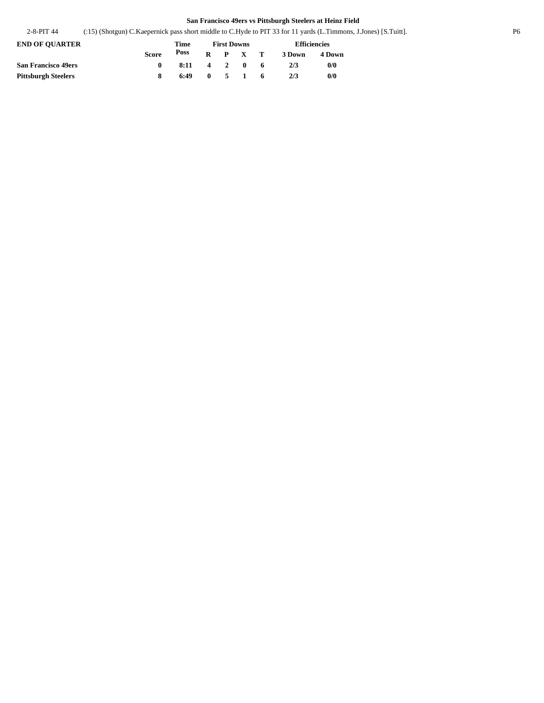2-8-PIT 44 (:15) (Shotgun) C.Kaepernick pass short middle to C.Hyde to PIT 33 for 11 yards (L.Timmons, J.Jones) [S.Tuitt]. P6

| <b>END OF OUARTER</b>      |       | <b>First Downs</b>     |  |  |                 | <b>Efficiencies</b> |        |        |
|----------------------------|-------|------------------------|--|--|-----------------|---------------------|--------|--------|
|                            | Score | Poss                   |  |  | $R$ $P$ $X$ $T$ |                     | 3 Down | 4 Down |
| <b>San Francisco 49ers</b> |       | $8:11 \t4 \t2 \t0 \t6$ |  |  |                 |                     | 2/3    | 0/0    |
| <b>Pittsburgh Steelers</b> |       | 6:49                   |  |  | $0 \t 5 \t 1$   | - 6                 | 2/3    | 0/0    |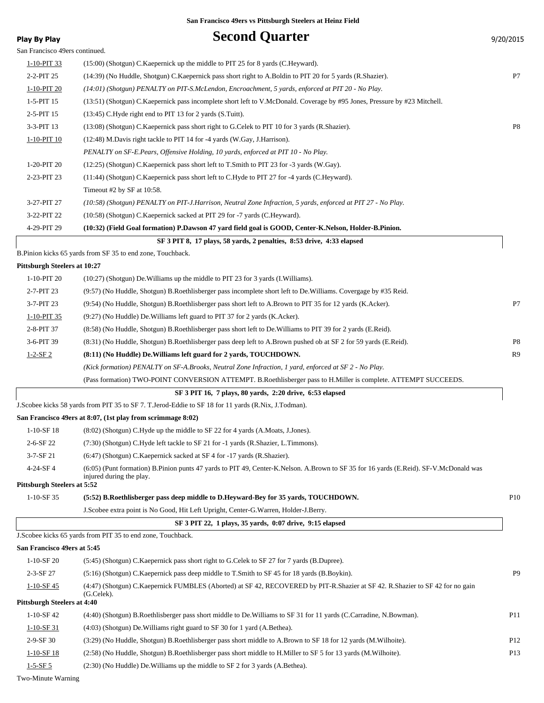| <b>Play By Play</b>                | <b>Second Quarter</b>                                                                                                                 | 9/20/2015       |
|------------------------------------|---------------------------------------------------------------------------------------------------------------------------------------|-----------------|
| San Francisco 49ers continued.     |                                                                                                                                       |                 |
| 1-10-PIT 33                        | $(15:00)$ (Shotgun) C. Kaepernick up the middle to PIT 25 for 8 yards (C. Heyward).                                                   |                 |
| 2-2-PIT 25                         | (14:39) (No Huddle, Shotgun) C. Kaepernick pass short right to A. Boldin to PIT 20 for 5 yards (R. Shazier).                          | P7              |
| 1-10-PIT 20                        | (14:01) (Shotgun) PENALTY on PIT-S.McLendon, Encroachment, 5 yards, enforced at PIT 20 - No Play.                                     |                 |
| $1-5-PIT$ 15                       | (13:51) (Shotgun) C.Kaepernick pass incomplete short left to V.McDonald. Coverage by #95 Jones, Pressure by #23 Mitchell.             |                 |
| 2-5-PIT 15                         | $(13:45)$ C. Hyde right end to PIT 13 for 2 yards $(S.Tuit)$ .                                                                        |                 |
| 3-3-PIT 13                         | (13:08) (Shotgun) C. Kaepernick pass short right to G. Celek to PIT 10 for 3 yards (R. Shazier).                                      | P8              |
| 1-10-PIT 10                        | (12:48) M.Davis right tackle to PIT 14 for -4 yards (W.Gay, J.Harrison).                                                              |                 |
|                                    | PENALTY on SF-E.Pears, Offensive Holding, 10 yards, enforced at PIT 10 - No Play.                                                     |                 |
| 1-20-PIT 20                        | (12:25) (Shotgun) C.Kaepernick pass short left to T.Smith to PIT 23 for -3 yards (W.Gay).                                             |                 |
| 2-23-PIT 23                        | (11:44) (Shotgun) C.Kaepernick pass short left to C.Hyde to PIT 27 for -4 yards (C.Heyward).                                          |                 |
|                                    | Timeout #2 by SF at 10:58.                                                                                                            |                 |
| 3-27-PIT 27                        | (10:58) (Shotgun) PENALTY on PIT-J.Harrison, Neutral Zone Infraction, 5 yards, enforced at PIT 27 - No Play.                          |                 |
| 3-22-PIT 22                        | (10:58) (Shotgun) C.Kaepernick sacked at PIT 29 for -7 yards (C.Heyward).                                                             |                 |
| 4-29-PIT 29                        | (10:32) (Field Goal formation) P.Dawson 47 yard field goal is GOOD, Center-K.Nelson, Holder-B.Pinion.                                 |                 |
|                                    | SF 3 PIT 8, 17 plays, 58 yards, 2 penalties, 8:53 drive, 4:33 elapsed                                                                 |                 |
|                                    | B.Pinion kicks 65 yards from SF 35 to end zone, Touchback.                                                                            |                 |
| Pittsburgh Steelers at 10:27       |                                                                                                                                       |                 |
| 1-10-PIT 20                        | $(10:27)$ (Shotgun) De. Williams up the middle to PIT 23 for 3 yards (I. Williams).                                                   |                 |
| 2-7-PIT 23                         | (9:57) (No Huddle, Shotgun) B.Roethlisberger pass incomplete short left to De.Williams. Covergage by #35 Reid.                        |                 |
| 3-7-PIT 23                         | (9:54) (No Huddle, Shotgun) B.Roethlisberger pass short left to A.Brown to PIT 35 for 12 yards (K.Acker).                             | P7              |
| 1-10-PIT 35                        | (9:27) (No Huddle) De. Williams left guard to PIT 37 for 2 yards (K. Acker).                                                          |                 |
| 2-8-PIT 37                         | (8.58) (No Huddle, Shotgun) B.Roethlisberger pass short left to De.Williams to PIT 39 for 2 yards (E.Reid).                           |                 |
| 3-6-PIT 39                         | (8:31) (No Huddle, Shotgun) B.Roethlisberger pass deep left to A.Brown pushed ob at SF 2 for 59 yards (E.Reid).                       | P <sub>8</sub>  |
| $1 - 2 - SF2$                      | (8:11) (No Huddle) De. Williams left guard for 2 yards, TOUCHDOWN.                                                                    | R9              |
|                                    | (Kick formation) PENALTY on SF-A.Brooks, Neutral Zone Infraction, 1 yard, enforced at SF 2 - No Play.                                 |                 |
|                                    | (Pass formation) TWO-POINT CONVERSION ATTEMPT. B.Roethlisberger pass to H.Miller is complete. ATTEMPT SUCCEEDS.                       |                 |
|                                    | SF 3 PIT 16, 7 plays, 80 yards, 2:20 drive, 6:53 elapsed                                                                              |                 |
|                                    | J.Scobee kicks 58 yards from PIT 35 to SF 7. T.Jerod-Eddie to SF 18 for 11 yards (R.Nix, J.Todman).                                   |                 |
|                                    | San Francisco 49ers at 8:07, (1st play from scrimmage 8:02)                                                                           |                 |
| $1-10-SF$ 18                       | (8.02) (Shotgun) C.Hyde up the middle to SF 22 for 4 yards (A.Moats, J.Jones).                                                        |                 |
| 2-6-SF 22                          | (7:30) (Shotgun) C.Hyde left tackle to SF 21 for -1 yards (R.Shazier, L.Timmons).                                                     |                 |
| $3 - 7 - SF 21$                    | (6:47) (Shotgun) C.Kaepernick sacked at SF 4 for -17 yards (R.Shazier).                                                               |                 |
| 4-24-SF4                           | (6:05) (Punt formation) B.Pinion punts 47 yards to PIT 49, Center-K.Nelson. A.Brown to SF 35 for 16 yards (E.Reid). SF-V.McDonald was |                 |
| <b>Pittsburgh Steelers at 5:52</b> | injured during the play.                                                                                                              |                 |
| $1-10-SF$ 35                       | (5:52) B.Roethlisberger pass deep middle to D.Heyward-Bey for 35 yards, TOUCHDOWN.                                                    | P <sub>10</sub> |
|                                    | J. Scobee extra point is No Good, Hit Left Upright, Center-G. Warren, Holder-J. Berry.                                                |                 |
|                                    | SF 3 PIT 22, 1 plays, 35 yards, 0:07 drive, 9:15 elapsed                                                                              |                 |
|                                    | J. Scobee kicks 65 yards from PIT 35 to end zone, Touchback.                                                                          |                 |
| San Francisco 49ers at 5:45        |                                                                                                                                       |                 |
| $1-10-SF$ 20                       | (5:45) (Shotgun) C.Kaepernick pass short right to G.Celek to SF 27 for 7 yards (B.Dupree).                                            |                 |
| 2-3-SF 27                          | (5:16) (Shotgun) C.Kaepernick pass deep middle to T.Smith to SF 45 for 18 yards (B.Boykin).                                           | P9              |
| $1-10-SF$ 45                       | (4:47) (Shotgun) C.Kaepernick FUMBLES (Aborted) at SF 42, RECOVERED by PIT-R.Shazier at SF 42. R.Shazier to SF 42 for no gain         |                 |
|                                    | (G.Celek).                                                                                                                            |                 |
| <b>Pittsburgh Steelers at 4:40</b> |                                                                                                                                       |                 |
| $1-10-SF42$                        | (4:40) (Shotgun) B.Roethlisberger pass short middle to De.Williams to SF 31 for 11 yards (C.Carradine, N.Bowman).                     | P11             |
| $1-10-SF$ 31                       | (4:03) (Shotgun) De Williams right guard to SF 30 for 1 yard (A.Bethea).                                                              |                 |
| 2-9-SF 30                          | (3:29) (No Huddle, Shotgun) B.Roethlisberger pass short middle to A.Brown to SF 18 for 12 yards (M.Wilhoite).                         | P <sub>12</sub> |
| $1 - 10 - SF$ 18                   | (2:58) (No Huddle, Shotgun) B.Roethlisberger pass short middle to H.Miller to SF 5 for 13 yards (M.Wilhoite).                         | P <sub>13</sub> |

Two-Minute Warning

1-5-SF 5 (2:30) (No Huddle) De.Williams up the middle to SF 2 for 3 yards (A.Bethea).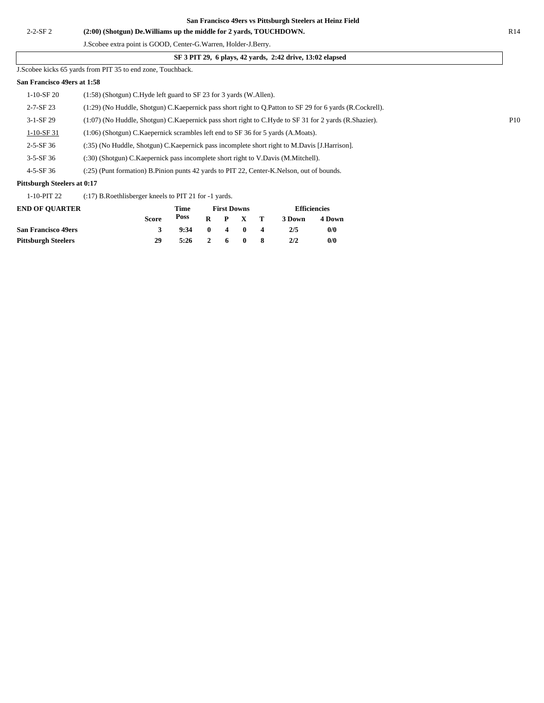J.Scobee kicks 65 yards from PIT 35 to end zone, Touchback.

#### **San Francisco 49ers at 1:58**

| $1-10-$ SF 20               | (1:58) (Shotgun) C.Hyde left guard to SF 23 for 3 yards (W.Allen).                                          |     |
|-----------------------------|-------------------------------------------------------------------------------------------------------------|-----|
| $2 - 7 - SF$ 23             | (1:29) (No Huddle, Shotgun) C. Kaepernick pass short right to Q. Patton to SF 29 for 6 yards (R. Cockrell). |     |
| $3-1-SF29$                  | $(1:07)$ (No Huddle, Shotgun) C. Kaepernick pass short right to C. Hyde to SF 31 for 2 yards (R. Shazier).  | P10 |
| $1-10-SF31$                 | (1:06) (Shotgun) C.Kaepernick scrambles left end to SF 36 for 5 yards (A.Moats).                            |     |
| $2 - 5 - SF 36$             | (:35) (No Huddle, Shotgun) C. Kaepernick pass incomplete short right to M. Davis [J. Harrison].             |     |
| $3-5-SF36$                  | (:30) (Shotgun) C. Kaepernick pass incomplete short right to V. Davis (M. Mitchell).                        |     |
| $4 - 5 - SF$ 36             | (:25) (Punt formation) B. Pinion punts 42 yards to PIT 22, Center-K. Nelson, out of bounds.                 |     |
| Pittsburgh Steelers at 0:17 |                                                                                                             |     |

1-10-PIT 22 (:17) B.Roethlisberger kneels to PIT 21 for -1 yards.

| <b>END OF OUARTER</b>      | Time         |      |                | <b>First Downs</b>      |                 |                | <b>Efficiencies</b> |        |
|----------------------------|--------------|------|----------------|-------------------------|-----------------|----------------|---------------------|--------|
|                            | <b>Score</b> | Poss |                |                         | $R$ $P$ $X$ $T$ |                | 3 Down              | 4 Down |
| <b>San Francisco 49ers</b> | 3            | 9:34 | - 0            | $\overline{\mathbf{4}}$ | $\mathbf{0}$    | $\blacksquare$ | 2/5                 | 0/0    |
| <b>Pittsburgh Steelers</b> | 29           | 5:26 | $\overline{2}$ |                         | 60              |                | 2/2                 | 0/0    |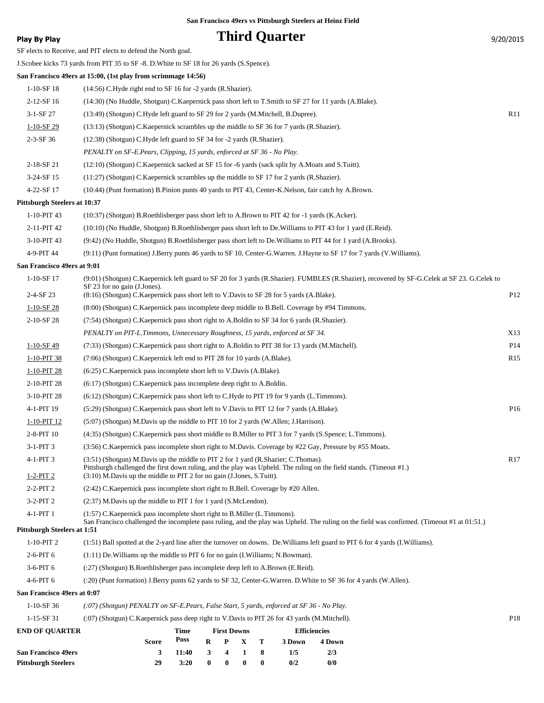## **Play By Play Play Play Play Play By Play Play By Play Play By Play Play Play Play Play Play Play Play Play Play Play Play Play Play Play Play Play Play Play Play Play**

| <b>San Francisco 49ers</b>          | 8<br>3<br>11:40<br>3<br>4<br>1<br>1/5<br>2/3                                                                                                                                                                                                                                        |                 |
|-------------------------------------|-------------------------------------------------------------------------------------------------------------------------------------------------------------------------------------------------------------------------------------------------------------------------------------|-----------------|
| <b>END OF QUARTER</b>               | <b>First Downs</b><br><b>Efficiencies</b><br>Time<br>Poss<br>т<br><b>Score</b><br>R<br>P<br>X<br>3 Down<br>4 Down                                                                                                                                                                   |                 |
| $1 - 15 - SF31$                     | (:07) (Shotgun) C.Kaepernick pass deep right to V.Davis to PIT 26 for 43 yards (M.Mitchell).                                                                                                                                                                                        | P18             |
| $1-10-SF$ 36                        | (:07) (Shotgun) PENALTY on SF-E.Pears, False Start, 5 yards, enforced at SF 36 - No Play.                                                                                                                                                                                           |                 |
| San Francisco 49ers at 0:07         |                                                                                                                                                                                                                                                                                     |                 |
| 4-6-PIT 6                           | (:20) (Punt formation) J.Berry punts 62 yards to SF 32, Center-G.Warren. D.White to SF 36 for 4 yards (W.Allen).                                                                                                                                                                    |                 |
| 3-6-PIT 6                           | (:27) (Shotgun) B.Roethlisberger pass incomplete deep left to A.Brown (E.Reid).                                                                                                                                                                                                     |                 |
| 2-6-PIT 6                           | $(1:11)$ De. Williams up the middle to PIT 6 for no gain $(I.Williams; N.Bowman)$ .                                                                                                                                                                                                 |                 |
| $1-10-PIT2$                         | (1:51) Ball spotted at the 2-yard line after the turnover on downs. De. Williams left guard to PIT 6 for 4 yards (I. Williams).                                                                                                                                                     |                 |
| <b>Pittsburgh Steelers at 1:51</b>  | San Francisco challenged the incomplete pass ruling, and the play was Upheld. The ruling on the field was confirmed. (Timeout #1 at 01:51.)                                                                                                                                         |                 |
| 4-1-PIT 1                           | (1:57) C. Kaepernick pass incomplete short right to B. Miller (L. Timmons).                                                                                                                                                                                                         |                 |
| $3-2-PIT2$                          | $(2:37)$ M.Davis up the middle to PIT 1 for 1 yard $(S.McLendon)$ .                                                                                                                                                                                                                 |                 |
| $2-2-PIT2$                          | (2:42) C.Kaepernick pass incomplete short right to B.Bell. Coverage by #20 Allen.                                                                                                                                                                                                   |                 |
| $1-2-PIT2$                          | $(3.51)$ (Shotgun) M.Davis up the middle to PIT 2 for 1 yard (R.Shazier; C.Thomas).<br>Pittsburgh challenged the first down ruling, and the play was Upheld. The ruling on the field stands. (Timeout #1.)<br>(3:10) M.Davis up the middle to PIT 2 for no gain (J.Jones, S.Tuitt). |                 |
| 3-1-PIT 3<br>4-1-PIT 3              | (3:56) C.Kaepernick pass incomplete short right to M.Davis. Coverage by #22 Gay, Pressure by #55 Moats.                                                                                                                                                                             | R <sub>17</sub> |
|                                     |                                                                                                                                                                                                                                                                                     |                 |
| 2-8-PIT 10                          | (4:35) (Shotgun) C.Kaepernick pass short middle to B.Miller to PIT 3 for 7 yards (S.Spence; L.Timmons).                                                                                                                                                                             |                 |
| $1-10-PIT$ 12                       | (5:07) (Shotgun) M.Davis up the middle to PIT 10 for 2 yards (W.Allen; J.Harrison).                                                                                                                                                                                                 |                 |
| 4-1-PIT 19                          | (5:29) (Shotgun) C.Kaepernick pass short left to V.Davis to PIT 12 for 7 yards (A.Blake).                                                                                                                                                                                           | P16             |
| 3-10-PIT 28                         | (6:17) (Shotgun) C. Kaepernick pass incomplete deep right to A. Boldin.<br>(6:12) (Shotgun) C.Kaepernick pass short left to C.Hyde to PIT 19 for 9 yards (L.Timmons).                                                                                                               |                 |
| 1-10-PIT 28<br>2-10-PIT 28          |                                                                                                                                                                                                                                                                                     |                 |
| 1-10-PIT 38                         | (7:06) (Shotgun) C.Kaepernick left end to PIT 28 for 10 yards (A.Blake).<br>(6:25) C.Kaepernick pass incomplete short left to V.Davis (A.Blake).                                                                                                                                    | R15             |
| $1-10-SF$ 49                        | (7:33) (Shotgun) C.Kaepernick pass short right to A.Boldin to PIT 38 for 13 yards (M.Mitchell).                                                                                                                                                                                     | P <sub>14</sub> |
|                                     | PENALTY on PIT-L.Timmons, Unnecessary Roughness, 15 yards, enforced at SF 34.                                                                                                                                                                                                       | X13             |
| 2-10-SF 28                          | (7:54) (Shotgun) C.Kaepernick pass short right to A.Boldin to SF 34 for 6 yards (R.Shazier).                                                                                                                                                                                        |                 |
| $1-10-SF$ 28                        | (8:00) (Shotgun) C.Kaepernick pass incomplete deep middle to B.Bell. Coverage by #94 Timmons.                                                                                                                                                                                       |                 |
| 2-4-SF 23                           | (8.16) (Shotgun) C. Kaepernick pass short left to V. Davis to SF 28 for 5 yards (A. Blake).                                                                                                                                                                                         | P12             |
| $1-10-SF$ 17                        | (9:01) (Shotgun) C.Kaepernick left guard to SF 20 for 3 yards (R.Shazier). FUMBLES (R.Shazier), recovered by SF-G.Celek at SF 23. G.Celek to<br>SF 23 for no gain (J.Jones).                                                                                                        |                 |
| San Francisco 49ers at 9:01         |                                                                                                                                                                                                                                                                                     |                 |
| 4-9-PIT 44                          | (9:11) (Punt formation) J.Berry punts 46 yards to SF 10, Center-G.Warren. J.Hayne to SF 17 for 7 yards (V.Williams).                                                                                                                                                                |                 |
| 3-10-PIT 43                         | (9:42) (No Huddle, Shotgun) B.Roethlisberger pass short left to De.Williams to PIT 44 for 1 yard (A.Brooks).                                                                                                                                                                        |                 |
| 2-11-PIT 42                         | (10:10) (No Huddle, Shotgun) B.Roethlisberger pass short left to De. Williams to PIT 43 for 1 yard (E.Reid).                                                                                                                                                                        |                 |
| 1-10-PIT 43                         | (10:37) (Shotgun) B.Roethlisberger pass short left to A.Brown to PIT 42 for -1 yards (K.Acker).                                                                                                                                                                                     |                 |
| <b>Pittsburgh Steelers at 10:37</b> |                                                                                                                                                                                                                                                                                     |                 |
| 4-22-SF 17                          | (10:44) (Punt formation) B.Pinion punts 40 yards to PIT 43, Center-K.Nelson, fair catch by A.Brown.                                                                                                                                                                                 |                 |
| 3-24-SF 15                          | (11:27) (Shotgun) C.Kaepernick scrambles up the middle to SF 17 for 2 yards (R.Shazier).                                                                                                                                                                                            |                 |
| 2-18-SF 21                          | (12:10) (Shotgun) C.Kaepernick sacked at SF 15 for -6 yards (sack split by A.Moats and S.Tuitt).                                                                                                                                                                                    |                 |
|                                     | PENALTY on SF-E.Pears, Clipping, 15 yards, enforced at SF 36 - No Play.                                                                                                                                                                                                             |                 |
| $2 - 3 - SF$ 36                     | (12:38) (Shotgun) C.Hyde left guard to SF 34 for -2 yards (R.Shazier).                                                                                                                                                                                                              |                 |
| $1-10-SF$ 29                        | (13:13) (Shotgun) C.Kaepernick scrambles up the middle to SF 36 for 7 yards (R.Shazier).                                                                                                                                                                                            |                 |
| $3-1-SF27$                          | (13:49) (Shotgun) C.Hyde left guard to SF 29 for 2 yards (M.Mitchell, B.Dupree).                                                                                                                                                                                                    | R11             |
| 2-12-SF 16                          | (14:30) (No Huddle, Shotgun) C. Kaepernick pass short left to T. Smith to SF 27 for 11 yards (A. Blake).                                                                                                                                                                            |                 |
| $1-10-SF$ 18                        | (14:56) C.Hyde right end to SF 16 for -2 yards (R.Shazier).                                                                                                                                                                                                                         |                 |
|                                     | San Francisco 49ers at 15:00, (1st play from scrimmage 14:56)                                                                                                                                                                                                                       |                 |
|                                     | J.Scobee kicks 73 yards from PIT 35 to SF -8. D. White to SF 18 for 26 yards (S.Spence).                                                                                                                                                                                            |                 |
|                                     | SF elects to Receive, and PIT elects to defend the North goal.                                                                                                                                                                                                                      |                 |

**Pittsburgh Steelers 29 3:20 0 0 0 0 0/2 0/0**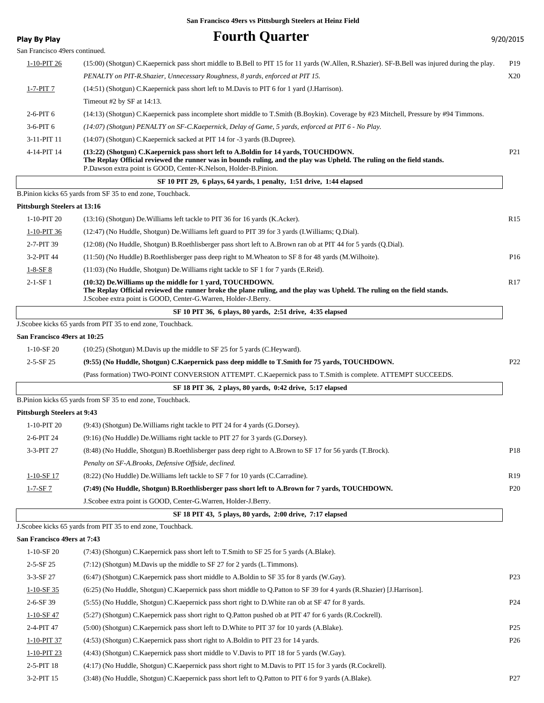### **Play By Play Play Play Play Play By Play Play By Play Play By Play Play Play Play Play Play Play Play Play Play Play Play Play Play Play Play Play Play Play Play Play**

San Francisco 49ers continued.

| $1-10-PIT26$ | (15:00) (Shotgun) C.Kaepernick pass short middle to B.Bell to PIT 15 for 11 yards (W.Allen, R.Shazier). SF-B.Bell was injured during the play.                                                                                                                                   | P <sub>19</sub> |
|--------------|----------------------------------------------------------------------------------------------------------------------------------------------------------------------------------------------------------------------------------------------------------------------------------|-----------------|
|              | PENALTY on PIT-R.Shazier, Unnecessary Roughness, 8 yards, enforced at PIT 15.                                                                                                                                                                                                    | X20             |
| $1-7-PIT$ 7  | $(14:51)$ (Shotgun) C. Kaepernick pass short left to M. Davis to PIT 6 for 1 yard (J. Harrison).                                                                                                                                                                                 |                 |
|              | Timeout #2 by SF at $14:13$ .                                                                                                                                                                                                                                                    |                 |
| $2-6-PIT6$   | (14:13) (Shotgun) C.Kaepernick pass incomplete short middle to T.Smith (B.Boykin). Coverage by #23 Mitchell, Pressure by #94 Timmons.                                                                                                                                            |                 |
| $3-6-PIT6$   | (14:07) (Shotgun) PENALTY on SF-C.Kaepernick, Delay of Game, 5 yards, enforced at PIT 6 - No Play.                                                                                                                                                                               |                 |
| 3-11-PIT 11  | (14:07) (Shotgun) C. Kaepernick sacked at PIT 14 for -3 yards (B. Dupree).                                                                                                                                                                                                       |                 |
| 4-14-PIT 14  | (13:22) (Shotgun) C.Kaepernick pass short left to A.Boldin for 14 yards, TOUCHDOWN.<br>The Replay Official reviewed the runner was in bounds ruling, and the play was Upheld. The ruling on the field stands.<br>P.Dawson extra point is GOOD, Center-K.Nelson, Holder-B.Pinion. | P <sub>21</sub> |
|              |                                                                                                                                                                                                                                                                                  |                 |

#### **SF 10 PIT 29, 6 plays, 64 yards, 1 penalty, 1:51 drive, 1:44 elapsed**

B.Pinion kicks 65 yards from SF 35 to end zone, Touchback.

#### **Pittsburgh Steelers at 13:16**

|                | The Replay Official reviewed the runner broke the plane ruling, and the play was Upheld. The ruling on the field stands.<br>J. Scobee extra point is GOOD, Center-G. Warren, Holder-J. Berry. |                 |
|----------------|-----------------------------------------------------------------------------------------------------------------------------------------------------------------------------------------------|-----------------|
| $2 - 1 - SF$ 1 | (10:32) De. Williams up the middle for 1 yard, TOUCHDOWN.                                                                                                                                     | R <sub>17</sub> |
| $1-8-SF8$      | (11:03) (No Huddle, Shotgun) De. Williams right tackle to SF 1 for 7 yards (E.Reid).                                                                                                          |                 |
| $3-2-PIT44$    | (11:50) (No Huddle) B.Roethlisberger pass deep right to M.Wheaton to SF 8 for 48 yards (M.Wilhoite).                                                                                          | P <sub>16</sub> |
| 2-7-PIT 39     | (12:08) (No Huddle, Shotgun) B.Roethlisberger pass short left to A.Brown ran ob at PIT 44 for 5 yards (Q.Dial).                                                                               |                 |
| 1-10-PIT 36    | (12:47) (No Huddle, Shotgun) De Williams left guard to PIT 39 for 3 yards (I. Williams; O. Dial).                                                                                             |                 |
| 1-10-PIT 20    | (13:16) (Shotgun) De Williams left tackle to PIT 36 for 16 yards (K.Acker).                                                                                                                   | R15             |
|                |                                                                                                                                                                                               |                 |

#### **SF 10 PIT 36, 6 plays, 80 yards, 2:51 drive, 4:35 elapsed**

J.Scobee kicks 65 yards from PIT 35 to end zone, Touchback.

#### **San Francisco 49ers at 10:25**

| 1-10-SF 20 | $(10:25)$ (Shotgun) M.Davis up the middle to SF 25 for 5 yards (C.Heyward). |  |  |
|------------|-----------------------------------------------------------------------------|--|--|
|------------|-----------------------------------------------------------------------------|--|--|

#### 2-5-SF 25 **(9:55) (No Huddle, Shotgun) C.Kaepernick pass deep middle to T.Smith for 75 yards, TOUCHDOWN.** P22

(Pass formation) TWO-POINT CONVERSION ATTEMPT. C.Kaepernick pass to T.Smith is complete. ATTEMPT SUCCEEDS.

 **SF 18 PIT 36, 2 plays, 80 yards, 0:42 drive, 5:17 elapsed**

B.Pinion kicks 65 yards from SF 35 to end zone, Touchback.

#### **Pittsburgh Steelers at 9:43**

| $1-10-PIT20$  | $(9:43)$ (Shotgun) De Williams right tackle to PIT 24 for 4 yards (G.Dorsey).                            |                 |
|---------------|----------------------------------------------------------------------------------------------------------|-----------------|
| $2-6-PIT24$   | $(9:16)$ (No Huddle) De. Williams right tackle to PIT 27 for 3 yards (G. Dorsey).                        |                 |
| 3-3-PIT 27    | (8.48) (No Huddle, Shotgun) B.Roethlisberger pass deep right to A.Brown to SF 17 for 56 yards (T.Brock). | P <sub>18</sub> |
|               | Penalty on SF-A.Brooks, Defensive Offside, declined.                                                     |                 |
| $1-10-SF$ 17  | (8.22) (No Huddle) De Williams left tackle to SF 7 for 10 yards (C.Carradine).                           | R <sub>19</sub> |
| $1 - 7 - SF7$ | (7:49) (No Huddle, Shotgun) B.Roethlisberger pass short left to A.Brown for 7 yards, TOUCHDOWN.          | P <sub>20</sub> |
|               | J. Scobee extra point is GOOD, Center-G. Warren, Holder-J. Berry.                                        |                 |
|               |                                                                                                          |                 |

| SF 18 PIT 43, 5 plays, 80 yards, 2:00 drive, 7:17 elapsed |  |
|-----------------------------------------------------------|--|
|-----------------------------------------------------------|--|

#### J.Scobee kicks 65 yards from PIT 35 to end zone, Touchback.

#### **San Francisco 49ers at 7:43**

| an Francisco <del>1</del> 9013 at 7 <b>.4</b> 9 |                                                                                                                       |                 |
|-------------------------------------------------|-----------------------------------------------------------------------------------------------------------------------|-----------------|
| $1-10-$ SF 20                                   | (7:43) (Shotgun) C. Kaepernick pass short left to T. Smith to SF 25 for 5 yards (A. Blake).                           |                 |
| $2 - 5 - SF$ 25                                 | $(7:12)$ (Shotgun) M.Davis up the middle to SF 27 for 2 yards (L.Timmons).                                            |                 |
| $3-3-$ SF 27                                    | (6:47) (Shotgun) C.Kaepernick pass short middle to A.Boldin to SF 35 for 8 yards (W.Gay).                             | P <sub>23</sub> |
| $1-10-SF35$                                     | (6:25) (No Huddle, Shotgun) C.Kaepernick pass short middle to O.Patton to SF 39 for 4 yards (R.Shazier) [J.Harrison]. |                 |
| $2-6-SF39$                                      | (5:55) (No Huddle, Shotgun) C. Kaepernick pass short right to D. White ran ob at SF 47 for 8 yards.                   | P <sub>24</sub> |
| $1-10-SF$ 47                                    | (5:27) (Shotgun) C.Kaepernick pass short right to O.Patton pushed ob at PIT 47 for 6 yards (R.Cockrell).              |                 |
| 2-4-PIT 47                                      | (5:00) (Shotgun) C. Kaepernick pass short left to D. White to PIT 37 for 10 yards (A. Blake).                         | P <sub>25</sub> |
| 1-10-PIT 37                                     | (4:53) (Shotgun) C. Kaepernick pass short right to A. Boldin to PIT 23 for 14 yards.                                  | P <sub>26</sub> |
| 1-10-PIT 23                                     | (4:43) (Shotgun) C.Kaepernick pass short middle to V.Davis to PIT 18 for 5 yards (W.Gay).                             |                 |
| $2-5-PIT$ 18                                    | (4:17) (No Huddle, Shotgun) C. Kaepernick pass short right to M. Davis to PIT 15 for 3 yards (R. Cockrell).           |                 |
| $3-2-PIT$ 15                                    | (3:48) (No Huddle, Shotgun) C. Kaepernick pass short left to O. Patton to PIT 6 for 9 yards (A. Blake).               | P <sub>27</sub> |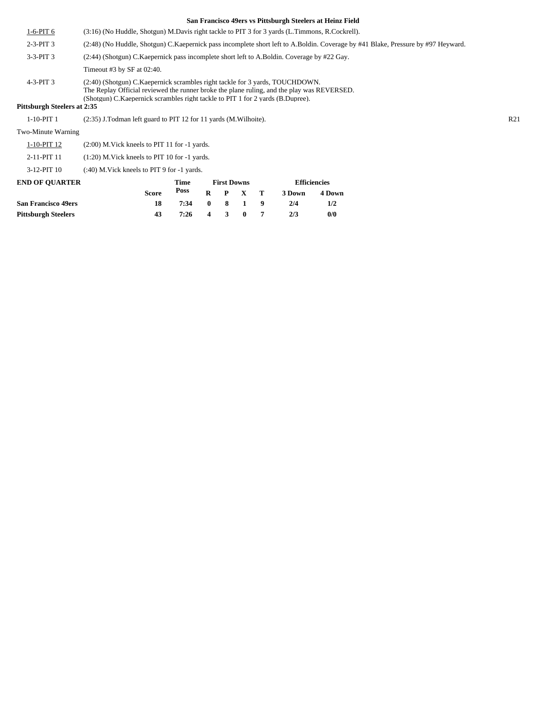|                                    |                                                                                            |                                                                                                                                                                                                                                                                 |              |                    |              |   | San Francisco 49ers vs Pittsburgh Steelers at Heinz Field |                     |  |     |  |
|------------------------------------|--------------------------------------------------------------------------------------------|-----------------------------------------------------------------------------------------------------------------------------------------------------------------------------------------------------------------------------------------------------------------|--------------|--------------------|--------------|---|-----------------------------------------------------------|---------------------|--|-----|--|
| $1-6-PIT6$                         |                                                                                            | (3:16) (No Huddle, Shotgun) M.Davis right tackle to PIT 3 for 3 yards (L.Timmons, R.Cockrell).                                                                                                                                                                  |              |                    |              |   |                                                           |                     |  |     |  |
| $2-3-PIT3$                         |                                                                                            | (2:48) (No Huddle, Shotgun) C.Kaepernick pass incomplete short left to A.Boldin. Coverage by #41 Blake, Pressure by #97 Heyward.                                                                                                                                |              |                    |              |   |                                                           |                     |  |     |  |
| $3-3-PIT3$                         | (2:44) (Shotgun) C.Kaepernick pass incomplete short left to A.Boldin. Coverage by #22 Gay. |                                                                                                                                                                                                                                                                 |              |                    |              |   |                                                           |                     |  |     |  |
|                                    | Timeout #3 by SF at $02:40$ .                                                              |                                                                                                                                                                                                                                                                 |              |                    |              |   |                                                           |                     |  |     |  |
| $4-3-PIT3$                         |                                                                                            | (2:40) (Shotgun) C. Kaepernick scrambles right tackle for 3 yards, TOUCHDOWN.<br>The Replay Official reviewed the runner broke the plane ruling, and the play was REVERSED.<br>(Shotgun) C. Kaepernick scrambles right tackle to PIT 1 for 2 yards (B. Dupree). |              |                    |              |   |                                                           |                     |  |     |  |
| <b>Pittsburgh Steelers at 2:35</b> |                                                                                            |                                                                                                                                                                                                                                                                 |              |                    |              |   |                                                           |                     |  |     |  |
| $1-10-PIT1$                        | (2:35) J.Todman left guard to PIT 12 for 11 yards (M.Wilhoite).                            |                                                                                                                                                                                                                                                                 |              |                    |              |   |                                                           |                     |  | R21 |  |
| Two-Minute Warning                 |                                                                                            |                                                                                                                                                                                                                                                                 |              |                    |              |   |                                                           |                     |  |     |  |
| 1-10-PIT 12                        | $(2:00)$ M. Vick kneels to PIT 11 for $-1$ yards.                                          |                                                                                                                                                                                                                                                                 |              |                    |              |   |                                                           |                     |  |     |  |
| 2-11-PIT 11                        | $(1:20)$ M. Vick kneels to PIT 10 for $-1$ yards.                                          |                                                                                                                                                                                                                                                                 |              |                    |              |   |                                                           |                     |  |     |  |
| 3-12-PIT 10                        | $(240)$ M. Vick kneels to PIT 9 for $-1$ yards.                                            |                                                                                                                                                                                                                                                                 |              |                    |              |   |                                                           |                     |  |     |  |
| <b>END OF QUARTER</b>              |                                                                                            | Time                                                                                                                                                                                                                                                            |              | <b>First Downs</b> |              |   |                                                           | <b>Efficiencies</b> |  |     |  |
|                                    | <b>Score</b>                                                                               | Poss                                                                                                                                                                                                                                                            | $\bf{R}$     | $\mathbf{P}$       | $\mathbf{x}$ | т | 3 Down                                                    | 4 Down              |  |     |  |
| <b>San Francisco 49ers</b>         | 18                                                                                         | 7:34                                                                                                                                                                                                                                                            | $\mathbf{0}$ | 8                  | 1            | 9 | 2/4                                                       | 1/2                 |  |     |  |
| <b>Pittsburgh Steelers</b>         | 43                                                                                         | 7:26                                                                                                                                                                                                                                                            | 4            | 3                  | $\bf{0}$     | 7 | 2/3                                                       | 0/0                 |  |     |  |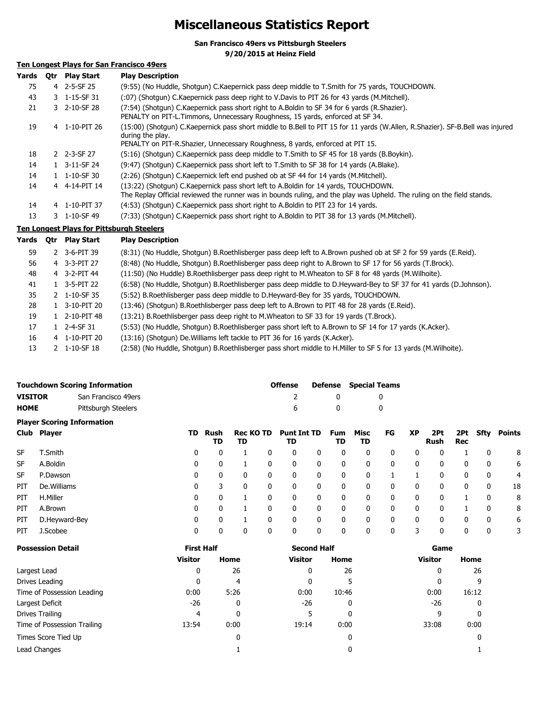## **Miscellaneous Statistics Report**

**San Francisco 49ers vs Pittsburgh Steelers**

**9/20/2015 at Heinz Field**

### **Ten Longest Plays for San Francisco 49ers**

| <b>Otr</b> | <b>Play Start</b> | <b>Play Description</b>                                                                                                                                                                                                             |
|------------|-------------------|-------------------------------------------------------------------------------------------------------------------------------------------------------------------------------------------------------------------------------------|
|            |                   | (9:55) (No Huddle, Shotgun) C.Kaepernick pass deep middle to T.Smith for 75 yards, TOUCHDOWN.                                                                                                                                       |
|            |                   | (:07) (Shotgun) C.Kaepernick pass deep right to V.Davis to PIT 26 for 43 yards (M.Mitchell).                                                                                                                                        |
|            |                   | (7:54) (Shotgun) C.Kaepernick pass short right to A.Boldin to SF 34 for 6 yards (R.Shazier).<br>PENALTY on PIT-L.Timmons, Unnecessary Roughness, 15 yards, enforced at SF 34.                                                       |
|            |                   | (15:00) (Shotqun) C.Kaepernick pass short middle to B.Bell to PIT 15 for 11 yards (W.Allen, R.Shazier). SF-B.Bell was injured<br>during the play.<br>PENALTY on PIT-R. Shazier, Unnecessary Roughness, 8 yards, enforced at PIT 15. |
|            |                   | (5:16) (Shotgun) C.Kaepernick pass deep middle to T.Smith to SF 45 for 18 yards (B.Boykin).                                                                                                                                         |
|            |                   | (9:47) (Shotqun) C.Kaepernick pass short left to T.Smith to SF 38 for 14 yards (A.Blake).                                                                                                                                           |
|            |                   | (2:26) (Shotgun) C.Kaepernick left end pushed ob at SF 44 for 14 yards (M.Mitchell).                                                                                                                                                |
|            |                   | (13:22) (Shotgun) C.Kaepernick pass short left to A.Boldin for 14 yards, TOUCHDOWN.<br>The Replay Official reviewed the runner was in bounds ruling, and the play was Upheld. The ruling on the field stands.                       |
|            |                   | (4:53) (Shotgun) C.Kaepernick pass short right to A.Boldin to PIT 23 for 14 yards.                                                                                                                                                  |
|            |                   | (7:33) (Shotgun) C.Kaepernick pass short right to A.Boldin to PIT 38 for 13 yards (M.Mitchell).                                                                                                                                     |
|            |                   | 4 2-5-SF 25<br>3 1-15-SF 31<br>3 2-10-SF 28<br>4 1-10-PIT 26<br>2 2-3-SF 27<br>1 3-11-SF 24<br>$1 \quad 1 - 10 - SF$ 30<br>4 4-14-PIT 14<br>4 1-10-PIT 37<br>3 1-10-SF 49                                                           |

#### **Ten Longest Plays for Pittsburgh Steelers**

| Yards | 0tr           | <b>Play Start</b>        | <b>Play Description</b>                                                                                           |
|-------|---------------|--------------------------|-------------------------------------------------------------------------------------------------------------------|
| 59    |               | 2 3-6-PIT 39             | (8:31) (No Huddle, Shotgun) B.Roethlisberger pass deep left to A.Brown pushed ob at SF 2 for 59 yards (E.Reid).   |
| 56    |               | 4 3-3-PIT 27             | (8:48) (No Huddle, Shotgun) B.Roethlisberger pass deep right to A.Brown to SF 17 for 56 yards (T.Brock).          |
| 48    |               | 4 3-2-PIT 44             | (11:50) (No Huddle) B.Roethlisberger pass deep right to M.Wheaton to SF 8 for 48 yards (M.Wilhoite).              |
| 41    |               | $1 \quad 3 - 5 - PIT$ 22 | (6:58) (No Huddle, Shotgun) B.Roethlisberger pass deep middle to D.Heyward-Bey to SF 37 for 41 yards (D.Johnson). |
| 35    |               | 2 1-10-SF 35             | (5:52) B. Roethlisberger pass deep middle to D. Heyward-Bey for 35 yards, TOUCHDOWN.                              |
| 28    |               | 3-10-PIT 20              | (13:46) (Shotgun) B.Roethlisberger pass deep left to A.Brown to PIT 48 for 28 yards (E.Reid).                     |
| 19    |               | 2-10-PIT 48              | (13:21) B. Roethlisberger pass deep right to M. Wheaton to SF 33 for 19 yards (T. Brock).                         |
| 17    |               | 2-4-SF 31                | (5:53) (No Huddle, Shotgun) B.Roethlisberger pass short left to A.Brown to SF 14 for 17 yards (K.Acker).          |
| 16    |               | 4 1-10-PIT 20            | (13:16) (Shotgun) De. Williams left tackle to PIT 36 for 16 yards (K. Acker).                                     |
| 13    | $\mathcal{P}$ | 1-10-SF 18               | (2:58) (No Huddle, Shotgun) B.Roethlisberger pass short middle to H.Miller to SF 5 for 13 yards (M.Wilhoite).     |

|                |               | <b>Touchdown Scoring Information</b> |     |              |                        |              | <b>Offense</b>           |   | <b>Defense</b>   | <b>Special Teams</b> |              |              |                    |                   |              |        |
|----------------|---------------|--------------------------------------|-----|--------------|------------------------|--------------|--------------------------|---|------------------|----------------------|--------------|--------------|--------------------|-------------------|--------------|--------|
| <b>VISITOR</b> |               | San Francisco 49ers                  |     |              |                        |              | ∠                        |   | 0                |                      | 0            |              |                    |                   |              |        |
| <b>HOME</b>    |               | Pittsburgh Steelers                  |     |              |                        |              | 6                        |   | 0                |                      | 0            |              |                    |                   |              |        |
|                |               | <b>Player Scoring Information</b>    |     |              |                        |              |                          |   |                  |                      |              |              |                    |                   |              |        |
|                | Club Player   |                                      | TD. | Rush<br>TD   | <b>Rec KO TD</b><br>TD |              | <b>Punt Int TD</b><br>TD |   | <b>Fum</b><br>TD | Misc<br>TD           | FG           | <b>XP</b>    | 2Pt<br><b>Rush</b> | 2Pt<br><b>Rec</b> | Sfty         | Points |
| <b>SF</b>      | T.Smith       |                                      | 0   | 0            |                        | 0            | 0                        | 0 | 0                | 0                    | 0            | 0            |                    |                   | 0            | 8      |
| <b>SF</b>      | A.Boldin      |                                      | 0   | 0            |                        | 0            | $\mathbf{0}$             | 0 | $\mathbf 0$      | 0                    | $\mathbf{0}$ | 0            | 0                  | 0                 | 0            | 6      |
| <b>SF</b>      | P.Dawson      |                                      | 0   | $\mathbf{0}$ | 0                      | $\mathbf{0}$ | $\mathbf{0}$             | 0 | 0                | $\mathbf{0}$         |              |              | 0                  | 0                 | 0            | 4      |
| PIT            | De. Williams  |                                      | 0   | 3            | 0                      | 0            | 0                        | 0 | $\mathbf 0$      | 0                    | 0            | 0            | 0                  | 0                 | 0            | 18     |
| PIT            | H.Miller      |                                      | 0   | 0            |                        | 0            | 0                        | 0 | $\mathbf 0$      | 0                    | 0            | 0            | 0                  |                   | 0            | 8      |
| PIT            | A.Brown       |                                      | 0   | $\mathbf{0}$ |                        | $\mathbf{0}$ | $\mathbf{0}$             | 0 | 0                | $\mathbf{0}$         | $\mathbf{0}$ | $\mathbf{0}$ | 0                  |                   | $\mathbf{0}$ | 8      |
| PIT            | D.Heyward-Bey |                                      | 0   | 0            |                        | 0            | 0                        | 0 | $\mathbf 0$      | 0                    | 0            | 0            | 0                  | 0                 | 0            | 6      |
| PIT            | J.Scobee      |                                      | 0   | 0            | 0                      | 0            | 0                        | 0 | 0                | 0                    | 0            | 3            | 0                  | 0                 | 0            | 3      |

| <b>Possession Detail</b>    | <b>First Half</b> |      | <b>Second Half</b> |       | Game           |       |  |
|-----------------------------|-------------------|------|--------------------|-------|----------------|-------|--|
|                             | <b>Visitor</b>    | Home | Visitor            | Home  | <b>Visitor</b> | Home  |  |
| Largest Lead                | 0                 | 26   | 0                  | 26    | 0              | 26    |  |
| Drives Leading              | $\mathbf{0}$      | 4    | 0                  | 5     | $\Omega$       | q     |  |
| Time of Possession Leading  | 0:00              | 5:26 | 0:00               | 10:46 | 0:00           | 16:12 |  |
| Largest Deficit             | $-26$             | 0    | $-26$              | 0     | $-26$          | 0     |  |
| Drives Trailing             | 4                 | 0    | 5                  | 0     | 9              |       |  |
| Time of Possession Trailing | 13:54             | 0:00 | 19:14              | 0:00  | 33:08          | 0:00  |  |
| Times Score Tied Up         |                   | 0    |                    | 0     |                |       |  |
| Lead Changes                |                   |      |                    | 0     |                |       |  |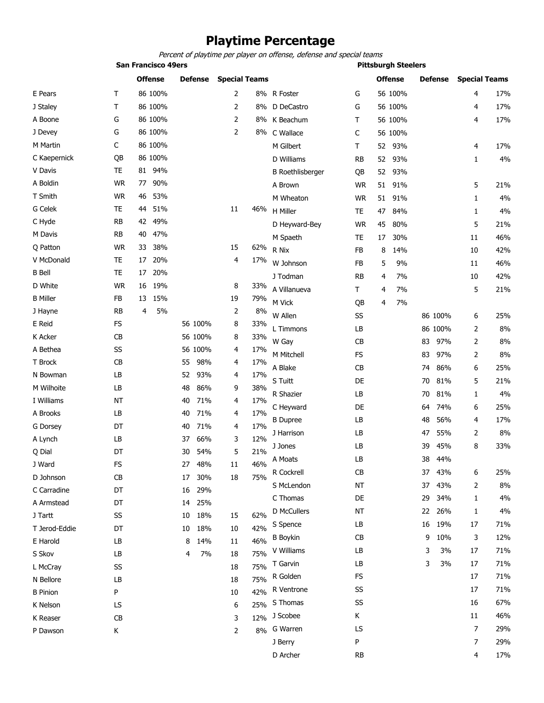### **Playtime Percentage**

*Percent of playtime per player on offense, defense and special teams*

|                 |           | <b>San Francisco 49ers</b> |           | <b>Pittsburgh Steelers</b> |     |                         |           |                |         |    |         |                      |       |
|-----------------|-----------|----------------------------|-----------|----------------------------|-----|-------------------------|-----------|----------------|---------|----|---------|----------------------|-------|
|                 |           | <b>Offense</b>             | Defense   | <b>Special Teams</b>       |     |                         |           | <b>Offense</b> |         |    | Defense | <b>Special Teams</b> |       |
| E Pears         | Τ         | 86 100%                    |           | 2                          | 8%  | R Foster                | G         |                | 56 100% |    |         | 4                    | 17%   |
| J Staley        | Т         | 86 100%                    |           | 2                          | 8%  | D DeCastro              | G         |                | 56 100% |    |         | 4                    | 17%   |
| A Boone         | G         | 86 100%                    |           | 2                          |     | 8% K Beachum            | T         |                | 56 100% |    |         | 4                    | 17%   |
| J Devey         | G         | 86 100%                    |           | 2                          |     | 8% C Wallace            | C         |                | 56 100% |    |         |                      |       |
| M Martin        | C         | 86 100%                    |           |                            |     | M Gilbert               | Τ         | 52             | 93%     |    |         | 4                    | 17%   |
| C Kaepernick    | QB        | 86 100%                    |           |                            |     | D Williams              | <b>RB</b> | 52             | 93%     |    |         | 1                    | 4%    |
| V Davis         | TE        | 81 94%                     |           |                            |     | <b>B</b> Roethlisberger | QB        | 52             | 93%     |    |         |                      |       |
| A Boldin        | <b>WR</b> | 90%<br>77                  |           |                            |     | A Brown                 | <b>WR</b> | 51             | 91%     |    |         | 5                    | 21%   |
| T Smith         | <b>WR</b> | 53%<br>46                  |           |                            |     | M Wheaton               | <b>WR</b> | 51             | 91%     |    |         | 1                    | 4%    |
| G Celek         | TE        | 51%<br>44                  |           | 11                         | 46% | H Miller                | TE        | 47             | 84%     |    |         | 1                    | 4%    |
| C Hyde          | <b>RB</b> | 49%<br>42                  |           |                            |     | D Heyward-Bey           | <b>WR</b> | 45             | 80%     |    |         | 5                    | 21%   |
| M Davis         | RB        | 47%<br>40                  |           |                            |     | M Spaeth                | TE        | 17             | 30%     |    |         | 11                   | 46%   |
| Q Patton        | <b>WR</b> | 38%<br>33                  |           | 15                         | 62% | R Nix                   | FB        | 8              | 14%     |    |         | 10                   | 42%   |
| V McDonald      | TE        | 20%<br>17                  |           | 4                          | 17% | W Johnson               | FB        | 5              | 9%      |    |         | 11                   | 46%   |
| <b>B</b> Bell   | <b>TE</b> | 20%<br>17                  |           |                            |     | J Todman                | RB        | 4              | 7%      |    |         | 10                   | 42%   |
| D White         | <b>WR</b> | 19%<br>16                  |           | 8                          | 33% | A Villanueva            | T.        | 4              | 7%      |    |         | 5                    | 21%   |
| <b>B</b> Miller | FB        | 15%<br>13                  |           | 19                         | 79% | M Vick                  | QB        | 4              | 7%      |    |         |                      |       |
| J Hayne         | <b>RB</b> | 5%<br>4                    |           | 2                          | 8%  | W Allen                 | SS        |                |         |    | 86 100% | 6                    | 25%   |
| E Reid          | <b>FS</b> |                            | 56 100%   | 8                          | 33% | L Timmons               | LB        |                |         |    | 86 100% | 2                    | 8%    |
| K Acker         | CВ        |                            | 56 100%   | 8                          | 33% | W Gay                   | CB        |                |         | 83 | 97%     | 2                    | 8%    |
| A Bethea        | SS        |                            | 56 100%   | 4                          | 17% | M Mitchell              | <b>FS</b> |                |         | 83 | 97%     | 2                    | 8%    |
| T Brock         | CB        |                            | 55<br>98% | 4                          | 17% | A Blake                 | CB        |                |         | 74 | 86%     | 6                    | 25%   |
| N Bowman        | LB        |                            | 52<br>93% | 4                          | 17% | S Tuitt                 | DE        |                |         | 70 | 81%     | 5                    | 21%   |
| M Wilhoite      | LB        |                            | 48<br>86% | 9                          | 38% | R Shazier               | LB        |                |         | 70 | 81%     | 1                    | 4%    |
| I Williams      | NΤ        |                            | 40<br>71% | 4                          | 17% | C Heyward               | DE        |                |         | 64 | 74%     | 6                    | 25%   |
| A Brooks        | LB        |                            | 71%<br>40 | 4                          | 17% | <b>B</b> Dupree         | LB        |                |         | 48 | 56%     | 4                    | 17%   |
| <b>G</b> Dorsey | DT        |                            | 40<br>71% | 4                          | 17% | J Harrison              | LB        |                |         | 47 | 55%     | 2                    | 8%    |
| A Lynch         | LB        |                            | 66%<br>37 | 3                          | 12% | J Jones                 | LB        |                |         | 39 | 45%     | 8                    | 33%   |
| Q Dial          | DT        |                            | 54%<br>30 | 5                          | 21% | A Moats                 | LB        |                |         | 38 | 44%     |                      |       |
| J Ward          | FS        |                            | 27 48%    | 11                         | 46% | R Cockrell              | <b>CB</b> |                |         |    | 37 43%  | 6                    | 25%   |
| D Johnson       | CB        |                            | 30%<br>17 | 18                         | 75% | S McLendon              | <b>NT</b> |                |         | 37 | 43%     | 2                    | $8\%$ |
| C Carradine     | DT        |                            | 29%<br>16 |                            |     | C Thomas                | DE        |                |         | 29 | 34%     | 1                    | 4%    |
| A Armstead      | DT        |                            | 25%<br>14 |                            |     |                         | NT        |                |         |    | 26%     |                      | 4%    |
| J Tartt         | SS        |                            | 18%<br>10 | 15                         | 62% | D McCullers             |           |                |         | 22 |         | 1                    |       |
| T Jerod-Eddie   | DT        |                            | 18%<br>10 | 10                         | 42% | S Spence                | LB        |                |         | 16 | 19%     | 17                   | 71%   |
| E Harold        | LB        |                            | 14%<br>8  | 11                         | 46% | <b>B</b> Boykin         | <b>CB</b> |                |         | 9  | 10%     | 3                    | 12%   |
| S Skov          | LB        |                            | 7%<br>4   | 18                         | 75% | V Williams              | LB        |                |         | 3  | 3%      | 17                   | 71%   |
| L McCray        | SS        |                            |           | 18                         | 75% | T Garvin                | LB        |                |         | 3  | 3%      | 17                   | 71%   |
| N Bellore       | LB        |                            |           | 18                         | 75% | R Golden                | <b>FS</b> |                |         |    |         | 17                   | 71%   |
| <b>B</b> Pinion | P         |                            |           | 10                         | 42% | R Ventrone              | SS        |                |         |    |         | 17                   | 71%   |
| K Nelson        | LS        |                            |           | 6                          | 25% | S Thomas                | SS        |                |         |    |         | 16                   | 67%   |

K Reaser  $\,$  CB  $\,$  3  $\,$  12% J Scobee  $\,$  K  $\,$   $\,$  11  $\,$  46%  $\,$ 

P Dawson K

2 8% G Warren LS LS 7 29%

J Berry P 7 29% D Archer RB 4 17%